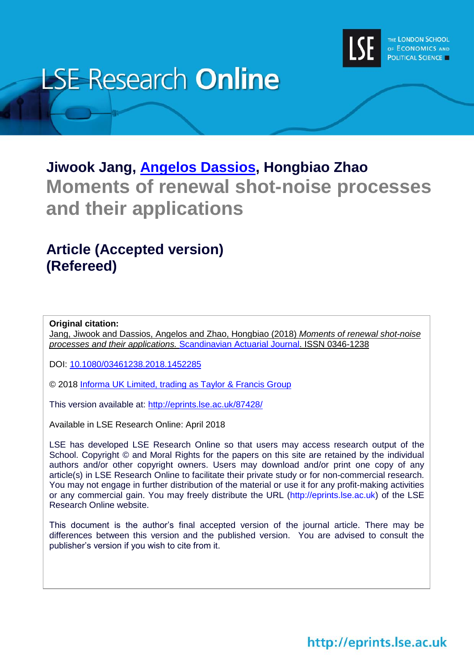

# **LSE Research Online**

## **Jiwook Jang, [Angelos Dassios,](http://www.lse.ac.uk/researchAndExpertise/Experts/profile.aspx?KeyValue=a.dassios@lse.ac.uk) Hongbiao Zhao Moments of renewal shot-noise processes and their applications**

### **Article (Accepted version) (Refereed)**

**Original citation:**

Jang, Jiwook and Dassios, Angelos and Zhao, Hongbiao (2018) *Moments of renewal shot-noise processes and their applications.* [Scandinavian Actuarial Journal.](https://www.tandfonline.com/toc/sact20/current) ISSN 0346-1238

DOI: [10.1080/03461238.2018.1452285](http://doi.org/10.1080/03461238.2018.1452285)

© 2018 [Informa UK Limited, trading as Taylor & Francis Group](http://taylorandfrancis.com/)

This version available at:<http://eprints.lse.ac.uk/87428/>

Available in LSE Research Online: April 2018

LSE has developed LSE Research Online so that users may access research output of the School. Copyright © and Moral Rights for the papers on this site are retained by the individual authors and/or other copyright owners. Users may download and/or print one copy of any article(s) in LSE Research Online to facilitate their private study or for non-commercial research. You may not engage in further distribution of the material or use it for any profit-making activities or any commercial gain. You may freely distribute the URL (http://eprints.lse.ac.uk) of the LSE Research Online website.

This document is the author's final accepted version of the journal article. There may be differences between this version and the published version. You are advised to consult the publisher's version if you wish to cite from it.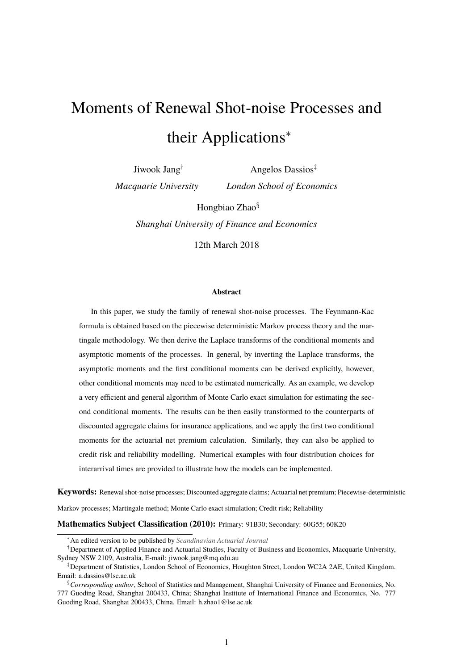# Moments of Renewal Shot-noise Processes and their Applications<sup>∗</sup>

Jiwook Jang† *Macquarie University*

Angelos Dassios‡ *London School of Economics*

Hongbiao Zhao§

*Shanghai University of Finance and Economics*

12th March 2018

#### **Abstract**

In this paper, we study the family of renewal shot-noise processes. The Feynmann-Kac formula is obtained based on the piecewise deterministic Markov process theory and the martingale methodology. We then derive the Laplace transforms of the conditional moments and asymptotic moments of the processes. In general, by inverting the Laplace transforms, the asymptotic moments and the first conditional moments can be derived explicitly, however, other conditional moments may need to be estimated numerically. As an example, we develop a very efficient and general algorithm of Monte Carlo exact simulation for estimating the second conditional moments. The results can be then easily transformed to the counterparts of discounted aggregate claims for insurance applications, and we apply the first two conditional moments for the actuarial net premium calculation. Similarly, they can also be applied to credit risk and reliability modelling. Numerical examples with four distribution choices for interarrival times are provided to illustrate how the models can be implemented.

**Keywords:** Renewal shot-noise processes; Discounted aggregate claims; Actuarial net premium; Piecewise-deterministic Markov processes; Martingale method; Monte Carlo exact simulation; Credit risk; Reliability

**Mathematics Subject Classification (2010):** Primary: 91B30; Secondary: 60G55; 60K20

<sup>∗</sup>An edited version to be published by *[Scandinavian Actuarial Journal](http://www.tandfonline.com/toc/sact20/current)*

<sup>†</sup>Department of Applied Finance and Actuarial Studies, Faculty of Business and Economics, Macquarie University, Sydney NSW 2109, Australia, E-mail: jiwook.jang@mq.edu.au

<sup>‡</sup>Department of Statistics, London School of Economics, Houghton Street, London WC2A 2AE, United Kingdom. Email: a.dassios@lse.ac.uk

<sup>§</sup>*Corresponding author*, School of Statistics and Management, Shanghai University of Finance and Economics, No. 777 Guoding Road, Shanghai 200433, China; Shanghai Institute of International Finance and Economics, No. 777 Guoding Road, Shanghai 200433, China. Email: h.zhao1@lse.ac.uk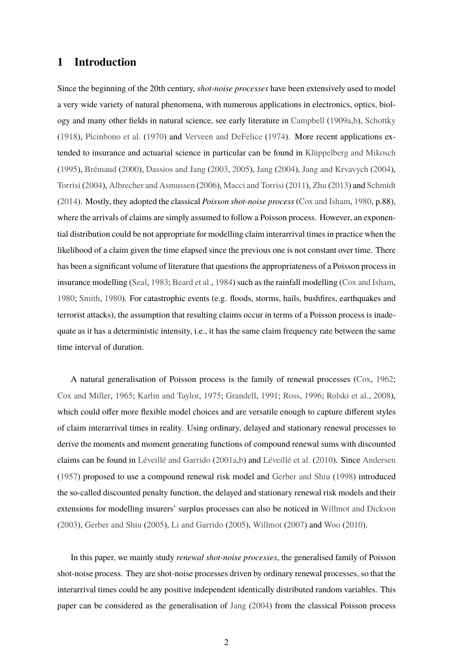#### **1 Introduction**

Since the beginning of the 20th century, *shot-noise processes* have been extensively used to model a very wide variety of natural phenomena, with numerous applications in electronics, optics, biology and many other fields in natural science, see early literature in [Campbell](#page-30-0) [\(1909a,](#page-30-0)[b\)](#page-30-1), [Schottky](#page-32-0) [\(1918\)](#page-32-0), [Picinbono et al.](#page-32-1) [\(1970\)](#page-32-1) and [Verveen and DeFelice](#page-33-0) [\(1974\)](#page-33-0). More recent applications extended to insurance and actuarial science in particular can be found in [Klüppelberg and Mikosch](#page-31-0) [\(1995\)](#page-31-0), [Brémaud](#page-30-2) [\(2000\)](#page-30-2), [Dassios and Jang](#page-30-3) [\(2003,](#page-30-3) [2005\)](#page-30-4), [Jang](#page-31-1) [\(2004\)](#page-31-1), [Jang and Krvavych](#page-31-2) [\(2004\)](#page-31-2), [Torrisi](#page-33-1) [\(2004\)](#page-33-1), [Albrecher and Asmussen](#page-30-5) [\(2006\)](#page-30-5), [Macci and Torrisi](#page-32-2) [\(2011\)](#page-32-2), [Zhu](#page-33-2) [\(2013\)](#page-33-2) and [Schmidt](#page-32-3) [\(2014\)](#page-32-3). Mostly, they adopted the classical *Poisson shot-noise process* [\(Cox and Isham,](#page-30-6) [1980,](#page-30-6) p.88), where the arrivals of claims are simply assumed to follow a Poisson process. However, an exponential distribution could be not appropriate for modelling claim interarrival times in practice when the likelihood of a claim given the time elapsed since the previous one is not constant over time. There has been a significant volume of literature that questions the appropriateness of a Poisson process in insurance modelling [\(Seal,](#page-32-4) [1983;](#page-32-4) [Beard et al.,](#page-30-7) [1984\)](#page-30-7) such as the rainfall modelling [\(Cox and Isham,](#page-30-6) [1980;](#page-30-6) [Smith,](#page-32-5) [1980\)](#page-32-5). For catastrophic events (e.g. floods, storms, hails, bushfires, earthquakes and terrorist attacks), the assumption that resulting claims occur in terms of a Poisson process is inadequate as it has a deterministic intensity, i.e., it has the same claim frequency rate between the same time interval of duration.

A natural generalisation of Poisson process is the family of renewal processes [\(Cox,](#page-30-8) [1962;](#page-30-8) [Cox and Miller,](#page-30-9) [1965;](#page-30-9) [Karlin and Taylor,](#page-31-3) [1975;](#page-31-3) [Grandell,](#page-31-4) [1991;](#page-31-4) [Ross,](#page-32-6) [1996;](#page-32-6) [Rolski et al.,](#page-32-7) [2008\)](#page-32-7), which could offer more flexible model choices and are versatile enough to capture different styles of claim interarrival times in reality. Using ordinary, delayed and stationary renewal processes to derive the moments and moment generating functions of compound renewal sums with discounted claims can be found in [Léveillé and Garrido](#page-31-5) [\(2001a](#page-31-5)[,b\)](#page-32-8) and [Léveillé et al.](#page-32-9) [\(2010\)](#page-32-9). Since [Andersen](#page-30-10) [\(1957\)](#page-30-10) proposed to use a compound renewal risk model and [Gerber and Shiu](#page-31-6) [\(1998\)](#page-31-6) introduced the so-called discounted penalty function, the delayed and stationary renewal risk models and their extensions for modelling insurers' surplus processes can also be noticed in [Willmot and Dickson](#page-33-3) [\(2003\)](#page-33-3), [Gerber and Shiu](#page-31-7) [\(2005\)](#page-31-7), [Li and Garrido](#page-32-10) [\(2005\)](#page-32-10), [Willmot](#page-33-4) [\(2007\)](#page-33-4) and [Woo](#page-33-5) [\(2010\)](#page-33-5).

In this paper, we mainly study *renewal shot-noise processes*, the generalised family of Poisson shot-noise process. They are shot-noise processes driven by ordinary renewal processes, so that the interarrival times could be any positive independent identically distributed random variables. This paper can be considered as the generalisation of [Jang](#page-31-1) [\(2004\)](#page-31-1) from the classical Poisson process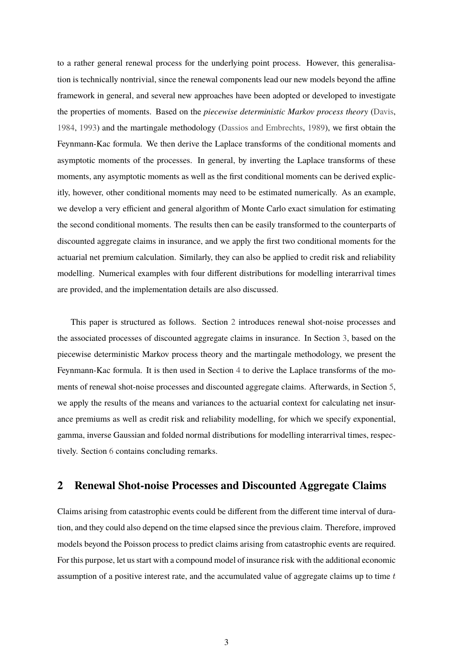to a rather general renewal process for the underlying point process. However, this generalisation is technically nontrivial, since the renewal components lead our new models beyond the affine framework in general, and several new approaches have been adopted or developed to investigate the properties of moments. Based on the *piecewise deterministic Markov process theory* [\(Davis,](#page-31-8) [1984,](#page-31-8) [1993\)](#page-31-9) and the martingale methodology [\(Dassios and Embrechts,](#page-30-11) [1989\)](#page-30-11), we first obtain the Feynmann-Kac formula. We then derive the Laplace transforms of the conditional moments and asymptotic moments of the processes. In general, by inverting the Laplace transforms of these moments, any asymptotic moments as well as the first conditional moments can be derived explicitly, however, other conditional moments may need to be estimated numerically. As an example, we develop a very efficient and general algorithm of Monte Carlo exact simulation for estimating the second conditional moments. The results then can be easily transformed to the counterparts of discounted aggregate claims in insurance, and we apply the first two conditional moments for the actuarial net premium calculation. Similarly, they can also be applied to credit risk and reliability modelling. Numerical examples with four different distributions for modelling interarrival times are provided, and the implementation details are also discussed.

This paper is structured as follows. Section [2](#page-3-0) introduces renewal shot-noise processes and the associated processes of discounted aggregate claims in insurance. In Section [3,](#page-6-0) based on the piecewise deterministic Markov process theory and the martingale methodology, we present the Feynmann-Kac formula. It is then used in Section [4](#page-9-0) to derive the Laplace transforms of the moments of renewal shot-noise processes and discounted aggregate claims. Afterwards, in Section [5,](#page-21-0) we apply the results of the means and variances to the actuarial context for calculating net insurance premiums as well as credit risk and reliability modelling, for which we specify exponential, gamma, inverse Gaussian and folded normal distributions for modelling interarrival times, respectively. Section [6](#page-27-0) contains concluding remarks.

#### <span id="page-3-0"></span>**2 Renewal Shot-noise Processes and Discounted Aggregate Claims**

Claims arising from catastrophic events could be different from the different time interval of duration, and they could also depend on the time elapsed since the previous claim. Therefore, improved models beyond the Poisson process to predict claims arising from catastrophic events are required. For this purpose, let us start with a compound model of insurance risk with the additional economic assumption of a positive interest rate, and the accumulated value of aggregate claims up to time  $t$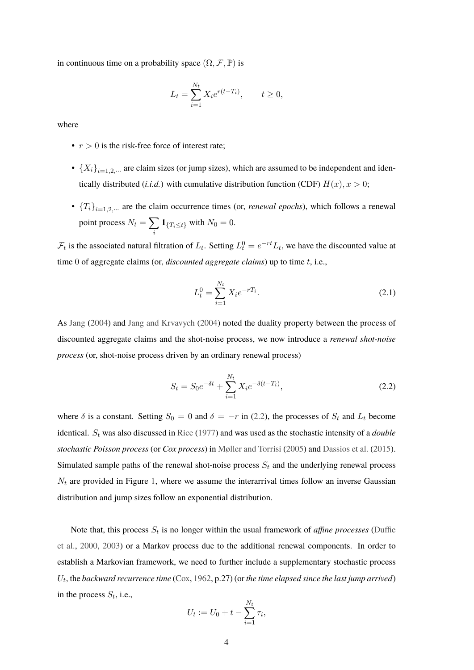in continuous time on a probability space  $(\Omega, \mathcal{F}, \mathbb{P})$  is

$$
L_t = \sum_{i=1}^{N_t} X_i e^{r(t - T_i)}, \qquad t \ge 0,
$$

where

- $r > 0$  is the risk-free force of interest rate;
- ${X_i}_{i=1,2,\cdots}$  are claim sizes (or jump sizes), which are assumed to be independent and identically distributed (*i.i.d.*) with cumulative distribution function (CDF)  $H(x)$ ,  $x > 0$ ;
- ${T_i}_{i=1,2,\dots}$  are the claim occurrence times (or, *renewal epochs*), which follows a renewal point process  $N_t = \sum$ i  $1_{\{T_i \le t\}}$  with  $N_0 = 0$ .

 $\mathcal{F}_t$  is the associated natural filtration of  $L_t$ . Setting  $L_t^0 = e^{-rt}L_t$ , we have the discounted value at time 0 of aggregate claims (or, *discounted aggregate claims*) up to time t, i.e.,

<span id="page-4-1"></span>
$$
L_t^0 = \sum_{i=1}^{N_t} X_i e^{-rT_i}.
$$
\n(2.1)

As [Jang](#page-31-1) [\(2004\)](#page-31-1) and [Jang and Krvavych](#page-31-2) [\(2004\)](#page-31-2) noted the duality property between the process of discounted aggregate claims and the shot-noise process, we now introduce a *renewal shot-noise process* (or, shot-noise process driven by an ordinary renewal process)

<span id="page-4-0"></span>
$$
S_t = S_0 e^{-\delta t} + \sum_{i=1}^{N_t} X_i e^{-\delta(t - T_i)},
$$
\n(2.2)

where  $\delta$  is a constant. Setting  $S_0 = 0$  and  $\delta = -r$  in [\(2.2\)](#page-4-0), the processes of  $S_t$  and  $L_t$  become identical. S<sub>t</sub> was also discussed in [Rice](#page-32-11) [\(1977\)](#page-32-11) and was used as the stochastic intensity of a *double stochastic Poisson process* (or *Cox process*) in [Møller and Torrisi](#page-32-12) [\(2005\)](#page-32-12) and [Dassios et al.](#page-30-12) [\(2015\)](#page-30-12). Simulated sample paths of the renewal shot-noise process  $S_t$  and the underlying renewal process  $N_t$  are provided in Figure [1,](#page-5-0) where we assume the interarrival times follow an inverse Gaussian distribution and jump sizes follow an exponential distribution.

Note that, this process  $S_t$  is no longer within the usual framework of *affine processes* [\(Duffie](#page-31-10)s [et al.,](#page-31-10) [2000,](#page-31-10) [2003\)](#page-31-11) or a Markov process due to the additional renewal components. In order to establish a Markovian framework, we need to further include a supplementary stochastic process  $U_t$ , the *backward recurrence time* [\(Cox,](#page-30-8) [1962,](#page-30-8)  $p.27$ ) (or *the time elapsed since the last jump arrived*) in the process  $S_t$ , i.e.,

$$
U_t := U_0 + t - \sum_{i=1}^{N_t} \tau_i,
$$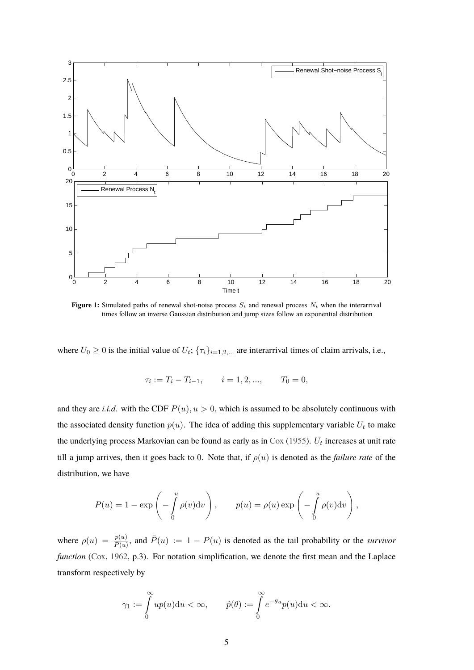<span id="page-5-0"></span>

**Figure 1:** Simulated paths of renewal shot-noise process  $S_t$  and renewal process  $N_t$  when the interarrival times follow an inverse Gaussian distribution and jump sizes follow an exponential distribution

where  $U_0 \geq 0$  is the initial value of  $U_t$ ;  $\{\tau_i\}_{i=1,2,...}$  are interarrival times of claim arrivals, i.e.,

$$
\tau_i := T_i - T_{i-1}, \qquad i = 1, 2, ..., \qquad T_0 = 0,
$$

and they are *i.i.d.* with the CDF  $P(u)$ ,  $u > 0$ , which is assumed to be absolutely continuous with the associated density function  $p(u)$ . The idea of adding this supplementary variable  $U_t$  to make the underlying process Markovian can be found as early as in  $\text{Cox } (1955)$  $\text{Cox } (1955)$  $\text{Cox } (1955)$  $\text{Cox } (1955)$ .  $U_t$  increases at unit rate till a jump arrives, then it goes back to 0. Note that, if  $\rho(u)$  is denoted as the *failure rate* of the distribution, we have

$$
P(u) = 1 - \exp\left(-\int_{0}^{u} \rho(v) dv\right), \qquad p(u) = \rho(u) \exp\left(-\int_{0}^{u} \rho(v) dv\right),
$$

where  $\rho(u) = \frac{p(u)}{\bar{P}(u)}$ , and  $\bar{P}(u) := 1 - P(u)$  is denoted as the tail probability or the *survivor function* [\(Cox,](#page-30-8) [1962,](#page-30-8) p.3). For notation simplification, we denote the first mean and the Laplace transform respectively by

$$
\gamma_1 := \int\limits_0^\infty u p(u) \mathrm{d} u < \infty, \qquad \hat{p}(\theta) := \int\limits_0^\infty e^{-\theta u} p(u) \mathrm{d} u < \infty.
$$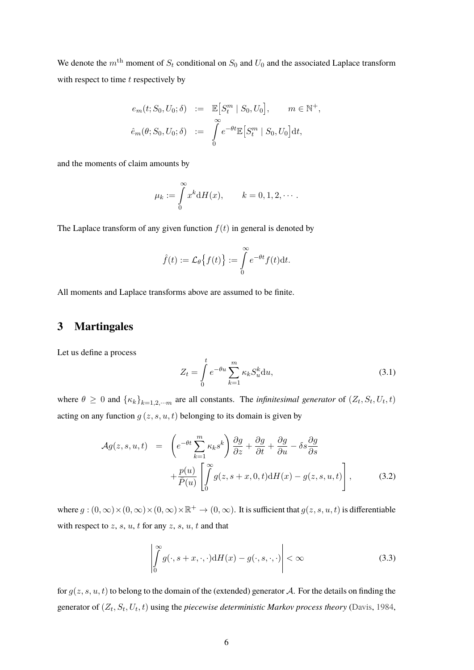We denote the  $m<sup>th</sup>$  moment of  $S_t$  conditional on  $S_0$  and  $U_0$  and the associated Laplace transform with respect to time  $t$  respectively by

$$
e_m(t; S_0, U_0; \delta) := \mathbb{E}\Big[S_t^m \mid S_0, U_0\Big], \qquad m \in \mathbb{N}^+,
$$
  

$$
\hat{e}_m(\theta; S_0, U_0; \delta) := \int_0^\infty e^{-\theta t} \mathbb{E}\Big[S_t^m \mid S_0, U_0\Big] dt,
$$

and the moments of claim amounts by

$$
\mu_k := \int\limits_0^\infty x^k \mathrm{d}H(x), \qquad k = 0, 1, 2, \cdots.
$$

The Laplace transform of any given function  $f(t)$  in general is denoted by

$$
\hat{f}(t) := \mathcal{L}_{\theta}\big\{f(t)\big\} := \int\limits_{0}^{\infty} e^{-\theta t} f(t) \mathrm{d}t.
$$

All moments and Laplace transforms above are assumed to be finite.

#### <span id="page-6-0"></span>**3 Martingales**

Let us define a process

$$
Z_t = \int_0^t e^{-\theta u} \sum_{k=1}^m \kappa_k S_u^k du,
$$
\n(3.1)

where  $\theta \ge 0$  and  $\{\kappa_k\}_{k=1,2,\dots,m}$  are all constants. The *infinitesimal generator* of  $(Z_t, S_t, U_t, t)$ acting on any function  $g(z, s, u, t)$  belonging to its domain is given by

<span id="page-6-1"></span>
$$
\mathcal{A}g(z,s,u,t) = \left(e^{-\theta t} \sum_{k=1}^{m} \kappa_k s^k\right) \frac{\partial g}{\partial z} + \frac{\partial g}{\partial t} + \frac{\partial g}{\partial u} - \delta s \frac{\partial g}{\partial s} + \frac{p(u)}{\overline{P}(u)} \left[ \int_{0}^{\infty} g(z, s+x, 0, t) dH(x) - g(z, s, u, t) \right],
$$
\n(3.2)

where  $g:(0,\infty)\times(0,\infty)\times(0,\infty)\times\mathbb{R}^+\to(0,\infty)$ . It is sufficient that  $g(z,s,u,t)$  is differentiable with respect to  $z, s, u, t$  for any  $z, s, u, t$  and that

<span id="page-6-2"></span>
$$
\left| \int_{0}^{\infty} g(\cdot, s + x, \cdot, \cdot) \mathrm{d}H(x) - g(\cdot, s, \cdot, \cdot) \right| < \infty \tag{3.3}
$$

for  $g(z, s, u, t)$  to belong to the domain of the (extended) generator A. For the details on finding the generator of  $(Z_t, S_t, U_t, t)$  using the *piecewise deterministic Markov process theory* [\(Davis,](#page-31-8) [1984,](#page-31-8)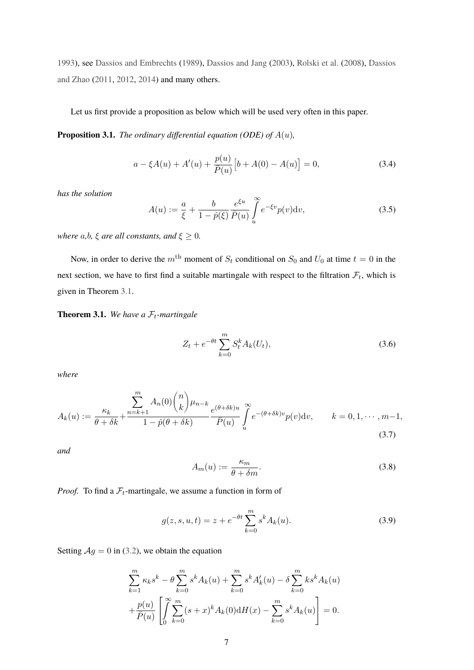[1993\)](#page-31-9), see [Dassios and Embrechts](#page-30-11) [\(1989\)](#page-30-11), [Dassios and Jang](#page-30-3) [\(2003\)](#page-30-3), [Rolski et al.](#page-32-7) [\(2008\)](#page-32-7), [Dassios](#page-31-12) [and Zhao](#page-31-12) [\(2011,](#page-31-12) [2012,](#page-31-13) [2014\)](#page-31-14) and many others.

<span id="page-7-1"></span>Let us first provide a proposition as below which will be used very often in this paper.

**Proposition 3.1.** *The ordinary differential equation (ODE) of* A(u)*,*

$$
a - \xi A(u) + A'(u) + \frac{p(u)}{\bar{P}(u)} \left[ b + A(0) - A(u) \right] = 0,
$$
\n(3.4)

*has the solution*

$$
A(u) := \frac{a}{\xi} + \frac{b}{1 - \hat{p}(\xi)} \frac{e^{\xi u}}{\bar{P}(u)} \int_{u}^{\infty} e^{-\xi v} p(v) \mathrm{d}v,\tag{3.5}
$$

*where*  $a, b, \xi$  *are all constants, and*  $\xi \geq 0$ *.* 

Now, in order to derive the  $m<sup>th</sup>$  moment of  $S_t$  conditional on  $S_0$  and  $U_0$  at time  $t = 0$  in the next section, we have to first find a suitable martingale with respect to the filtration  $\mathcal{F}_t$ , which is given in Theorem [3.1.](#page-7-0)

<span id="page-7-0"></span>**Theorem 3.1.** We have a  $\mathcal{F}_t$ -martingale

<span id="page-7-5"></span>
$$
Z_t + e^{-\theta t} \sum_{k=0}^{m} S_t^k A_k(U_t), \qquad (3.6)
$$

*where*

<span id="page-7-2"></span>
$$
A_k(u) := \frac{\sum_{k=1}^m A_n(0) \binom{n}{k} \mu_{n-k}}{1 - \hat{p}(\theta + \delta k)} \frac{e^{(\theta + \delta k)u}}{\bar{P}(u)} \int_u^\infty e^{-(\theta + \delta k)v} p(v) \, dv, \qquad k = 0, 1, \cdots, m-1,
$$
\n
$$
(3.7)
$$

*and*

<span id="page-7-3"></span>
$$
A_m(u) := \frac{\kappa_m}{\theta + \delta m}.\tag{3.8}
$$

*Proof.* To find a  $\mathcal{F}_t$ -martingale, we assume a function in form of

<span id="page-7-4"></span>
$$
g(z, s, u, t) = z + e^{-\theta t} \sum_{k=0}^{m} s^k A_k(u).
$$
 (3.9)

Setting  $Ag = 0$  in [\(3.2\)](#page-6-1), we obtain the equation

$$
\sum_{k=1}^{m} \kappa_k s^k - \theta \sum_{k=0}^{m} s^k A_k(u) + \sum_{k=0}^{m} s^k A'_k(u) - \delta \sum_{k=0}^{m} k s^k A_k(u) + \frac{p(u)}{\bar{P}(u)} \left[ \int_{0}^{\infty} \sum_{k=0}^{m} (s+x)^k A_k(0) dH(x) - \sum_{k=0}^{m} s^k A_k(u) \right] = 0.
$$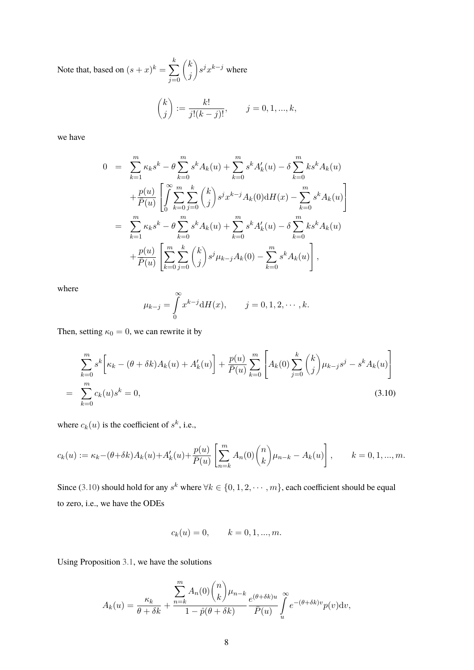Note that, based on  $(s+x)^k = \sum$ k  $j=0$  $\sqrt{k}$ j  $s^{j}x^{k-j}$  where

$$
\binom{k}{j}:=\frac{k!}{j!(k-j)!},\qquad j=0,1,...,k,
$$

we have

<span id="page-8-0"></span>
$$
0 = \sum_{k=1}^{m} \kappa_{k} s^{k} - \theta \sum_{k=0}^{m} s^{k} A_{k}(u) + \sum_{k=0}^{m} s^{k} A'_{k}(u) - \delta \sum_{k=0}^{m} k s^{k} A_{k}(u)
$$
  
+ 
$$
\frac{p(u)}{\bar{P}(u)} \left[ \int_{0}^{\infty} \sum_{k=0}^{m} \sum_{j=0}^{k} {k \choose j} s^{j} x^{k-j} A_{k}(0) dH(x) - \sum_{k=0}^{m} s^{k} A_{k}(u) \right]
$$
  
= 
$$
\sum_{k=1}^{m} \kappa_{k} s^{k} - \theta \sum_{k=0}^{m} s^{k} A_{k}(u) + \sum_{k=0}^{m} s^{k} A'_{k}(u) - \delta \sum_{k=0}^{m} k s^{k} A_{k}(u)
$$
  
+ 
$$
\frac{p(u)}{\bar{P}(u)} \left[ \sum_{k=0}^{m} \sum_{j=0}^{k} {k \choose j} s^{j} \mu_{k-j} A_{k}(0) - \sum_{k=0}^{m} s^{k} A_{k}(u) \right],
$$

where

$$
\mu_{k-j} = \int_{0}^{\infty} x^{k-j} dH(x), \qquad j = 0, 1, 2, \cdots, k.
$$

Then, setting  $\kappa_0 = 0$ , we can rewrite it by

$$
\sum_{k=0}^{m} s^{k} \left[ \kappa_{k} - (\theta + \delta k) A_{k}(u) + A'_{k}(u) \right] + \frac{p(u)}{\bar{P}(u)} \sum_{k=0}^{m} \left[ A_{k}(0) \sum_{j=0}^{k} {k \choose j} \mu_{k-j} s^{j} - s^{k} A_{k}(u) \right]
$$
\n
$$
= \sum_{k=0}^{m} c_{k}(u) s^{k} = 0,
$$
\n(3.10)

where  $c_k(u)$  is the coefficient of  $s^k$ , i.e.,

$$
c_k(u) := \kappa_k - (\theta + \delta k) A_k(u) + A'_k(u) + \frac{p(u)}{\bar{P}(u)} \left[ \sum_{n=k}^m A_n(0) \binom{n}{k} \mu_{n-k} - A_k(u) \right], \qquad k = 0, 1, ..., m.
$$

Since [\(3.10\)](#page-8-0) should hold for any  $s^k$  where  $\forall k \in \{0, 1, 2, \cdots, m\}$ , each coefficient should be equal to zero, i.e., we have the ODEs

$$
c_k(u) = 0, \qquad k = 0, 1, ..., m.
$$

Using Proposition [3.1,](#page-7-1) we have the solutions

$$
A_k(u) = \frac{\kappa_k}{\theta + \delta k} + \frac{\sum_{n=k}^m A_n(0) \binom{n}{k} \mu_{n-k}}{1 - \hat{p}(\theta + \delta k)} \frac{e^{(\theta + \delta k)u}}{\bar{P}(u)} \int_u^\infty e^{-(\theta + \delta k)v} p(v) \mathrm{d}v,
$$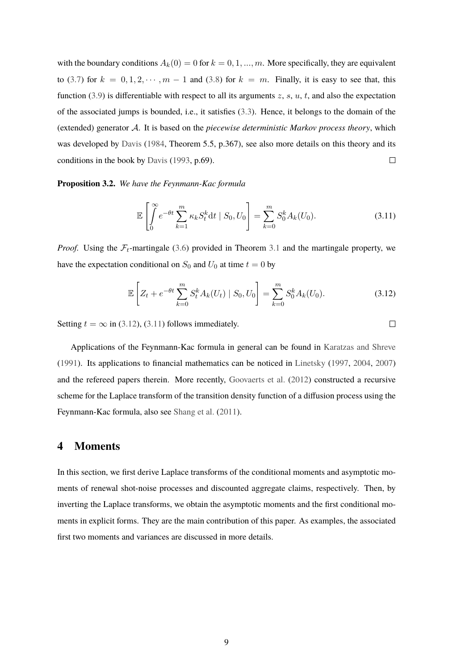with the boundary conditions  $A_k(0) = 0$  for  $k = 0, 1, ..., m$ . More specifically, they are equivalent to [\(3.7\)](#page-7-2) for  $k = 0, 1, 2, \cdots, m - 1$  and [\(3.8\)](#page-7-3) for  $k = m$ . Finally, it is easy to see that, this function [\(3.9\)](#page-7-4) is differentiable with respect to all its arguments  $z$ ,  $s$ ,  $u$ ,  $t$ , and also the expectation of the associated jumps is bounded, i.e., it satisfies [\(3.3\)](#page-6-2). Hence, it belongs to the domain of the (extended) generator A. It is based on the *piecewise deterministic Markov process theory*, which was developed by [Davis](#page-31-8) [\(1984,](#page-31-8) Theorem 5.5, p.367), see also more details on this theory and its conditions in the book by [Davis](#page-31-9) [\(1993,](#page-31-9) p.69).  $\Box$ 

#### **Proposition 3.2.** *We have the Feynmann-Kac formula*

<span id="page-9-2"></span>
$$
\mathbb{E}\left[\int_{0}^{\infty} e^{-\theta t} \sum_{k=1}^{m} \kappa_k S_t^k dt \mid S_0, U_0\right] = \sum_{k=0}^{m} S_0^k A_k(U_0).
$$
 (3.11)

*Proof.* Using the  $\mathcal{F}_t$ -martingale [\(3.6\)](#page-7-5) provided in Theorem [3.1](#page-7-0) and the martingale property, we have the expectation conditional on  $S_0$  and  $U_0$  at time  $t = 0$  by

<span id="page-9-1"></span>
$$
\mathbb{E}\left[Z_t + e^{-\theta t} \sum_{k=0}^m S_t^k A_k(U_t) \mid S_0, U_0\right] = \sum_{k=0}^m S_0^k A_k(U_0). \tag{3.12}
$$

Setting  $t = \infty$  in [\(3.12\)](#page-9-1), [\(3.11\)](#page-9-2) follows immediately.

Applications of the Feynmann-Kac formula in general can be found in [Karatzas and Shreve](#page-31-15) [\(1991\)](#page-31-15). Its applications to financial mathematics can be noticed in [Linetsky](#page-32-13) [\(1997,](#page-32-13) [2004,](#page-32-14) [2007\)](#page-32-15) and the refereed papers therein. More recently, [Goovaerts et al.](#page-31-16) [\(2012\)](#page-31-16) constructed a recursive scheme for the Laplace transform of the transition density function of a diffusion process using the Feynmann-Kac formula, also see [Shang et al.](#page-32-16) [\(2011\)](#page-32-16).

#### <span id="page-9-0"></span>**4 Moments**

In this section, we first derive Laplace transforms of the conditional moments and asymptotic moments of renewal shot-noise processes and discounted aggregate claims, respectively. Then, by inverting the Laplace transforms, we obtain the asymptotic moments and the first conditional moments in explicit forms. They are the main contribution of this paper. As examples, the associated first two moments and variances are discussed in more details.

```
\Box
```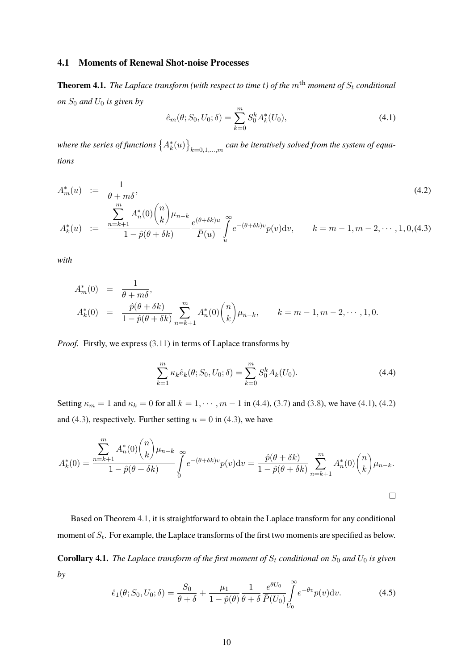#### **4.1 Moments of Renewal Shot-noise Processes**

<span id="page-10-3"></span>**Theorem 4.1.** *The Laplace transform (with respect to time t) of the*  $m<sup>th</sup>$  *moment of*  $S_t$  *conditional on*  $S_0$  *and*  $U_0$  *is given by* 

<span id="page-10-1"></span>
$$
\hat{e}_m(\theta; S_0, U_0; \delta) = \sum_{k=0}^m S_0^k A_k^*(U_0), \tag{4.1}
$$

where the series of functions  $\big\{A_k^*(u)\big\}_{k=0,1,...,m}$  can be iteratively solved from the system of equa*tions*

<span id="page-10-2"></span>
$$
A_m^*(u) := \frac{1}{\theta + m\delta},
$$
  
\n
$$
A_k^*(u) := \frac{\sum_{n=k+1}^m A_n^*(0) {n \choose k} \mu_{n-k}}{1 - \hat{p}(\theta + \delta k)} \frac{e^{(\theta + \delta k)u}}{\bar{P}(u)} \int_u^\infty e^{-(\theta + \delta k)v} p(v) dv, \qquad k = m - 1, m - 2, \dots, 1, 0, (4.3)
$$
\n(4.2)

*with*

$$
A_m^*(0) = \frac{1}{\theta + m\delta},
$$
  
\n
$$
A_k^*(0) = \frac{\hat{p}(\theta + \delta k)}{1 - \hat{p}(\theta + \delta k)} \sum_{n=k+1}^m A_n^*(0) {n \choose k} \mu_{n-k}, \qquad k = m-1, m-2, \dots, 1, 0.
$$

*Proof.* Firstly, we express [\(3.11\)](#page-9-2) in terms of Laplace transforms by

<span id="page-10-0"></span>
$$
\sum_{k=1}^{m} \kappa_k \hat{e}_k(\theta; S_0, U_0; \delta) = \sum_{k=0}^{m} S_0^k A_k(U_0).
$$
 (4.4)

Setting  $\kappa_m = 1$  and  $\kappa_k = 0$  for all  $k = 1, \dots, m - 1$  in [\(4.4\)](#page-10-0), [\(3.7\)](#page-7-2) and [\(3.8\)](#page-7-3), we have [\(4.1\)](#page-10-1), [\(4.2\)](#page-10-2) and [\(4.3\)](#page-10-2), respectively. Further setting  $u = 0$  in (4.3), we have

$$
A_k^*(0) = \frac{\sum_{n=k+1}^m A_n^*(0) {n \choose k} \mu_{n-k}}{1 - \hat{p}(\theta + \delta k)} \int_0^{\infty} e^{-(\theta + \delta k)v} p(v) dv = \frac{\hat{p}(\theta + \delta k)}{1 - \hat{p}(\theta + \delta k)} \sum_{n=k+1}^m A_n^*(0) {n \choose k} \mu_{n-k}.
$$

Based on Theorem [4.1,](#page-10-3) it is straightforward to obtain the Laplace transform for any conditional moment of  $S_t$ . For example, the Laplace transforms of the first two moments are specified as below.

**Corollary 4.1.** *The Laplace transform of the first moment of*  $S_t$  *conditional on*  $S_0$  *and*  $U_0$  *is given by*

<span id="page-10-4"></span>
$$
\hat{e}_1(\theta; S_0, U_0; \delta) = \frac{S_0}{\theta + \delta} + \frac{\mu_1}{1 - \hat{p}(\theta)} \frac{1}{\theta + \delta} \frac{e^{\theta U_0}}{\bar{P}(U_0)} \int_{U_0}^{\infty} e^{-\theta v} p(v) \,dv. \tag{4.5}
$$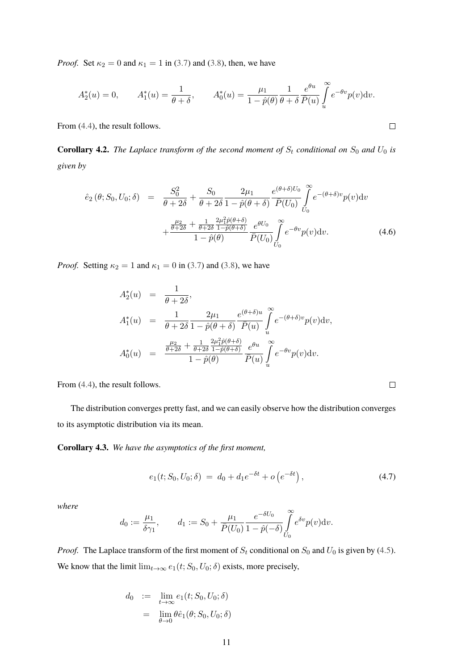*Proof.* Set  $\kappa_2 = 0$  and  $\kappa_1 = 1$  in [\(3.7\)](#page-7-2) and [\(3.8\)](#page-7-3), then, we have

$$
A_2^*(u) = 0,
$$
  $A_1^*(u) = \frac{1}{\theta + \delta},$   $A_0^*(u) = \frac{\mu_1}{1 - \hat{p}(\theta)} \frac{1}{\theta + \delta} \frac{e^{\theta u}}{\bar{P}(u)} \int_u^{\infty} e^{-\theta v} p(v) dv.$ 

From [\(4.4\)](#page-10-0), the result follows.

**Corollary 4.2.** *The Laplace transform of the second moment of*  $S_t$  *conditional on*  $S_0$  *and*  $U_0$  *is given by*

<span id="page-11-1"></span>
$$
\hat{e}_{2}(\theta; S_{0}, U_{0}; \delta) = \frac{S_{0}^{2}}{\theta + 2\delta} + \frac{S_{0}}{\theta + 2\delta} \frac{2\mu_{1}}{1 - \hat{p}(\theta + \delta)} \frac{e^{(\theta + \delta)U_{0}}}{\bar{P}(U_{0})} \int_{U_{0}}^{\infty} e^{-(\theta + \delta)v} p(v) dv + \frac{\frac{\mu_{2}}{\theta + 2\delta} + \frac{1}{\theta + 2\delta} \frac{2\mu_{1}^{2}\hat{p}(\theta + \delta)}{1 - \hat{p}(\theta)} e^{\theta U_{0}}}{1 - \hat{p}(\theta)} \frac{e^{\theta U_{0}}}{\bar{P}(U_{0})} \int_{U_{0}}^{\infty} e^{-\theta v} p(v) dv.
$$
\n(4.6)

*Proof.* Setting  $\kappa_2 = 1$  and  $\kappa_1 = 0$  in [\(3.7\)](#page-7-2) and [\(3.8\)](#page-7-3), we have

$$
A_2^*(u) = \frac{1}{\theta + 2\delta},
$$
  
\n
$$
A_1^*(u) = \frac{1}{\theta + 2\delta} \frac{2\mu_1}{1 - \hat{p}(\theta + \delta)} \frac{e^{(\theta + \delta)u}}{\bar{P}(u)} \int_u^\infty e^{-(\theta + \delta)v} p(v) dv,
$$
  
\n
$$
A_0^*(u) = \frac{\frac{\mu_2}{\theta + 2\delta} + \frac{1}{\theta + 2\delta} \frac{2\mu_1^2 \hat{p}(\theta + \delta)}{1 - \hat{p}(\theta)} e^{\theta u}}{\frac{\partial}{\bar{P}(u)} \int_u^\infty e^{-\theta v} p(v) dv}.
$$

From [\(4.4\)](#page-10-0), the result follows.

The distribution converges pretty fast, and we can easily observe how the distribution converges to its asymptotic distribution via its mean.

**Corollary 4.3.** *We have the asymptotics of the first moment,*

<span id="page-11-0"></span>
$$
e_1(t; S_0, U_0; \delta) = d_0 + d_1 e^{-\delta t} + o\left(e^{-\delta t}\right), \tag{4.7}
$$

*where*

$$
d_0 := \frac{\mu_1}{\delta \gamma_1}, \qquad d_1 := S_0 + \frac{\mu_1}{\bar{P}(U_0)} \frac{e^{-\delta U_0}}{1 - \hat{p}(-\delta)} \int_{U_0}^{\infty} e^{\delta v} p(v) \mathrm{d}v.
$$

*Proof.* The Laplace transform of the first moment of  $S_t$  conditional on  $S_0$  and  $U_0$  is given by [\(4.5\)](#page-10-4). We know that the limit  $\lim_{t\to\infty} e_1(t; S_0, U_0; \delta)$  exists, more precisely,

$$
d_0 := \lim_{t \to \infty} e_1(t; S_0, U_0; \delta)
$$
  
= 
$$
\lim_{\theta \to 0} \theta \hat{e}_1(\theta; S_0, U_0; \delta)
$$

 $\Box$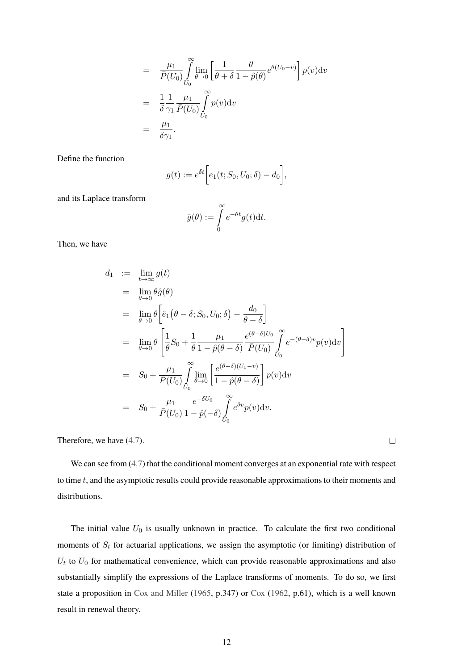$$
= \frac{\mu_1}{\bar{P}(U_0)} \int_{U_0}^{\infty} \lim_{\theta \to 0} \left[ \frac{1}{\theta + \delta} \frac{\theta}{1 - \hat{p}(\theta)} e^{\theta(U_0 - v)} \right] p(v) dv
$$
  
\n
$$
= \frac{1}{\delta} \frac{1}{\gamma_1} \frac{\mu_1}{\bar{P}(U_0)} \int_{U_0}^{\infty} p(v) dv
$$
  
\n
$$
= \frac{\mu_1}{\delta \gamma_1}.
$$

Define the function

$$
g(t) := e^{\delta t} \bigg[ e_1(t; S_0, U_0; \delta) - d_0 \bigg],
$$

and its Laplace transform

$$
\hat{g}(\theta) := \int_{0}^{\infty} e^{-\theta t} g(t) dt.
$$

Then, we have

$$
d_1 := \lim_{t \to \infty} g(t)
$$
  
\n
$$
= \lim_{\theta \to 0} \theta \hat{g}(\theta)
$$
  
\n
$$
= \lim_{\theta \to 0} \theta \left[ \hat{e}_1(\theta - \delta; S_0, U_0; \delta) - \frac{d_0}{\theta - \delta} \right]
$$
  
\n
$$
= \lim_{\theta \to 0} \theta \left[ \frac{1}{\theta} S_0 + \frac{1}{\theta} \frac{\mu_1}{1 - \hat{p}(\theta - \delta)} \frac{e^{(\theta - \delta)U_0}}{\bar{P}(U_0)} \int_{U_0}^{\infty} e^{-(\theta - \delta)v} p(v) dv \right]
$$
  
\n
$$
= S_0 + \frac{\mu_1}{\bar{P}(U_0)} \int_{U_0}^{\infty} \lim_{\theta \to 0} \left[ \frac{e^{(\theta - \delta)(U_0 - v)}}{1 - \hat{p}(\theta - \delta)} \right] p(v) dv
$$
  
\n
$$
= S_0 + \frac{\mu_1}{\bar{P}(U_0)} \frac{e^{-\delta U_0}}{1 - \hat{p}(-\delta)} \int_{U_0}^{\infty} e^{\delta v} p(v) dv.
$$

Therefore, we have [\(4.7\)](#page-11-0).

We can see from  $(4.7)$  that the conditional moment converges at an exponential rate with respect to time t, and the asymptotic results could provide reasonable approximations to their moments and distributions.

 $\Box$ 

<span id="page-12-0"></span>The initial value  $U_0$  is usually unknown in practice. To calculate the first two conditional moments of  $S_t$  for actuarial applications, we assign the asymptotic (or limiting) distribution of  $U_t$  to  $U_0$  for mathematical convenience, which can provide reasonable approximations and also substantially simplify the expressions of the Laplace transforms of moments. To do so, we first state a proposition in [Cox and Miller](#page-30-9) [\(1965,](#page-30-9) p.347) or [Cox](#page-30-8) [\(1962,](#page-30-8) p.61), which is a well known result in renewal theory.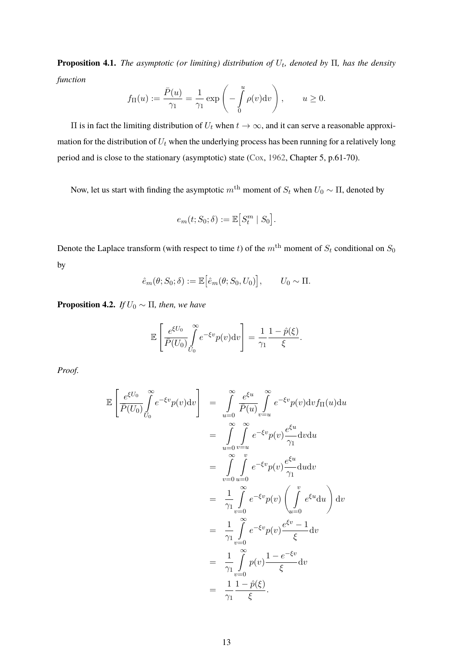**Proposition 4.1.** *The asymptotic (or limiting) distribution of*  $U_t$ , denoted by Π, has the density *function*

$$
f_{\Pi}(u) := \frac{\bar{P}(u)}{\gamma_1} = \frac{1}{\gamma_1} \exp\left(-\int_0^u \rho(v) \mathrm{d}v\right), \qquad u \ge 0.
$$

II is in fact the limiting distribution of  $U_t$  when  $t → ∞$ , and it can serve a reasonable approximation for the distribution of  $U_t$  when the underlying process has been running for a relatively long period and is close to the stationary (asymptotic) state [\(Cox,](#page-30-8) [1962,](#page-30-8) Chapter 5, p.61-70).

Now, let us start with finding the asymptotic  $m^{\text{th}}$  moment of  $S_t$  when  $U_0 \sim \Pi$ , denoted by

$$
e_m(t;S_0;\delta) := \mathbb{E}\big[S_t^m \mid S_0\big].
$$

Denote the Laplace transform (with respect to time t) of the  $m<sup>th</sup>$  moment of  $S_t$  conditional on  $S_0$ by

$$
\hat{e}_m(\theta; S_0; \delta) := \mathbb{E} \big[ \hat{e}_m(\theta; S_0, U_0) \big], \qquad U_0 \sim \Pi.
$$

<span id="page-13-0"></span>**Proposition 4.2.** *If*  $U_0 \sim \Pi$ *, then, we have* 

$$
\mathbb{E}\left[\frac{e^{\xi U_0}}{\bar{P}(U_0)}\int\limits_{U_0}^{\infty}e^{-\xi v}p(v)\mathrm{d}v\right]=\frac{1}{\gamma_1}\frac{1-\hat{p}(\xi)}{\xi}.
$$

*Proof.*

$$
\mathbb{E}\left[\frac{e^{\xi U_0}}{\bar{P}(U_0)}\int_{U_0}^{\infty} e^{-\xi v}p(v)\mathrm{d}v\right] = \int_{u=0}^{\infty} \frac{e^{\xi u}}{\bar{P}(u)}\int_{v=u}^{\infty} e^{-\xi v}p(v)\mathrm{d}v f_{\Pi}(u)\mathrm{d}u
$$
  
\n
$$
= \int_{u=0}^{\infty} \int_{v=u}^{\infty} e^{-\xi v}p(v)\frac{e^{\xi u}}{\gamma_1}\mathrm{d}v\mathrm{d}u
$$
  
\n
$$
= \int_{v=0}^{\infty} \int_{u=0}^{v} e^{-\xi v}p(v)\frac{e^{\xi u}}{\gamma_1}\mathrm{d}u\mathrm{d}v
$$
  
\n
$$
= \frac{1}{\gamma_1}\int_{v=0}^{\infty} e^{-\xi v}p(v)\left(\int_{u=0}^{v} e^{\xi u}\mathrm{d}u\right)\mathrm{d}v
$$
  
\n
$$
= \frac{1}{\gamma_1}\int_{v=0}^{\infty} e^{-\xi v}p(v)\frac{e^{\xi v}-1}{\xi}\mathrm{d}v
$$
  
\n
$$
= \frac{1}{\gamma_1}\int_{v=0}^{\infty} p(v)\frac{1-e^{-\xi v}}{\xi}\mathrm{d}v
$$
  
\n
$$
= \frac{1}{\gamma_1}\frac{1-\hat{p}(\xi)}{\xi}.
$$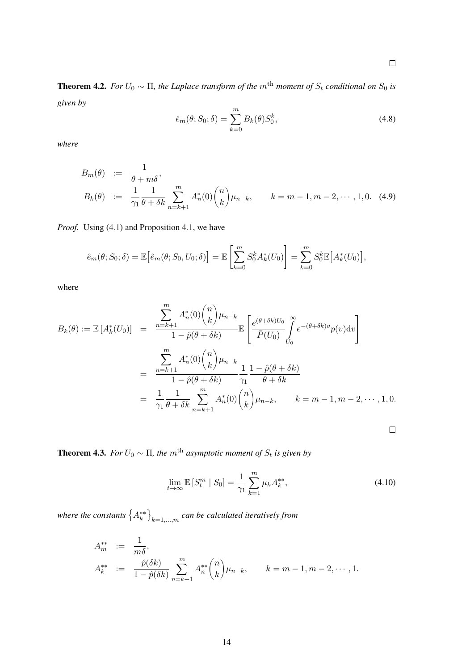$\Box$ 

**Theorem 4.2.** *For*  $U_0 \sim \Pi$ , the Laplace transform of the m<sup>th</sup> moment of  $S_t$  conditional on  $S_0$  is *given by*

<span id="page-14-2"></span>
$$
\hat{e}_m(\theta; S_0; \delta) = \sum_{k=0}^m B_k(\theta) S_0^k,
$$
\n(4.8)

*where*

<span id="page-14-0"></span>
$$
B_m(\theta) := \frac{1}{\theta + m\delta},
$$
  
\n
$$
B_k(\theta) := \frac{1}{\gamma_1} \frac{1}{\theta + \delta k} \sum_{n=k+1}^m A_n^*(0) {n \choose k} \mu_{n-k}, \qquad k = m - 1, m - 2, \dots, 1, 0.
$$
 (4.9)

*Proof.* Using [\(4.1\)](#page-10-1) and Proposition [4.1,](#page-12-0) we have

$$
\hat{e}_m(\theta; S_0; \delta) = \mathbb{E}\big[\hat{e}_m(\theta; S_0, U_0; \delta)\big] = \mathbb{E}\left[\sum_{k=0}^m S_0^k A_k^*(U_0)\right] = \sum_{k=0}^m S_0^k \mathbb{E}\big[A_k^*(U_0)\big],
$$

where

$$
B_k(\theta) := \mathbb{E}\left[A_k^*(U_0)\right] = \frac{\sum_{n=k+1}^m A_n^*(0) {n \choose k} \mu_{n-k}}{1 - \hat{p}(\theta + \delta k)} \mathbb{E}\left[\frac{e^{(\theta + \delta k)U_0}}{\bar{P}(U_0)} \int_{U_0}^{\infty} e^{-(\theta + \delta k)v} p(v) \mathrm{d}v\right]
$$
  

$$
= \frac{\sum_{n=k+1}^m A_n^*(0) {n \choose k} \mu_{n-k}}{1 - \hat{p}(\theta + \delta k)} \frac{1}{\gamma_1} \frac{1 - \hat{p}(\theta + \delta k)}{\theta + \delta k}
$$
  

$$
= \frac{1}{\gamma_1} \frac{1}{\theta + \delta k} \sum_{n=k+1}^m A_n^*(0) {n \choose k} \mu_{n-k}, \qquad k = m - 1, m - 2, \dots, 1, 0.
$$

**Theorem 4.3.** *For*  $U_0 \sim \Pi$ , the  $m^{\text{th}}$  asymptotic moment of  $S_t$  is given by

<span id="page-14-1"></span>
$$
\lim_{t \to \infty} \mathbb{E}\left[S_t^m \mid S_0\right] = \frac{1}{\gamma_1} \sum_{k=1}^m \mu_k A_k^{**},\tag{4.10}
$$

where the constants  $\left\{ A_{k}^{\ast\ast}\right\} _{k=1,...,m}$  can be calculated iteratively from

$$
A_{m}^{**} := \frac{1}{m\delta},
$$
  
\n
$$
A_{k}^{**} := \frac{\hat{p}(\delta k)}{1 - \hat{p}(\delta k)} \sum_{n=k+1}^{m} A_{n}^{**} {n \choose k} \mu_{n-k}, \qquad k = m-1, m-2, \dots, 1.
$$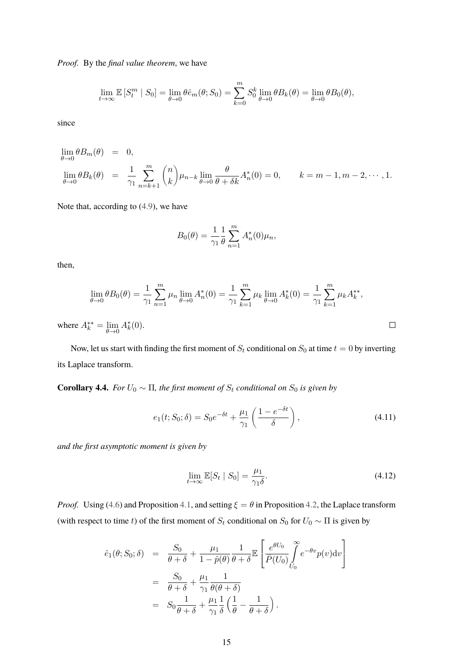*Proof.* By the *final value theorem*, we have

$$
\lim_{t \to \infty} \mathbb{E}\left[S_t^m \mid S_0\right] = \lim_{\theta \to 0} \theta \hat{e}_m(\theta; S_0) = \sum_{k=0}^m S_0^k \lim_{\theta \to 0} \theta B_k(\theta) = \lim_{\theta \to 0} \theta B_0(\theta),
$$

since

$$
\lim_{\theta \to 0} \theta B_m(\theta) = 0,
$$
  
\n
$$
\lim_{\theta \to 0} \theta B_k(\theta) = \frac{1}{\gamma_1} \sum_{n=k+1}^m {n \choose k} \mu_{n-k} \lim_{\theta \to 0} \frac{\theta}{\theta + \delta k} A_n^*(0) = 0, \qquad k = m-1, m-2, \dots, 1.
$$

Note that, according to [\(4.9\)](#page-14-0), we have

$$
B_0(\theta) = \frac{1}{\gamma_1} \frac{1}{\theta} \sum_{n=1}^m A_n^*(0) \mu_n,
$$

then,

$$
\lim_{\theta \to 0} \theta B_0(\theta) = \frac{1}{\gamma_1} \sum_{n=1}^m \mu_n \lim_{\theta \to 0} A_n^*(0) = \frac{1}{\gamma_1} \sum_{k=1}^m \mu_k \lim_{\theta \to 0} A_k^*(0) = \frac{1}{\gamma_1} \sum_{k=1}^m \mu_k A_k^{**},
$$
  
\n
$$
\lim_{k^*} \theta B_0(\theta) = \frac{1}{\gamma_1} \sum_{n=1}^m \mu_n A_n^*(0).
$$

where  $A_k^{**} = \lim_{\theta \to 0} A_k^{*}(0)$ .

Now, let us start with finding the first moment of  $S_t$  conditional on  $S_0$  at time  $t = 0$  by inverting its Laplace transform.

**Corollary 4.4.** *For*  $U_0 \sim \Pi$ *, the first moment of*  $S_t$  *conditional on*  $S_0$  *is given by* 

<span id="page-15-0"></span>
$$
e_1(t; S_0; \delta) = S_0 e^{-\delta t} + \frac{\mu_1}{\gamma_1} \left( \frac{1 - e^{-\delta t}}{\delta} \right), \qquad (4.11)
$$

*and the first asymptotic moment is given by*

<span id="page-15-1"></span>
$$
\lim_{t \to \infty} \mathbb{E}[S_t | S_0] = \frac{\mu_1}{\gamma_1 \delta}.
$$
\n(4.12)

*Proof.* Using [\(4.6\)](#page-11-1) and Proposition [4.1,](#page-12-0) and setting  $\xi = \theta$  in Proposition [4.2,](#page-13-0) the Laplace transform (with respect to time t) of the first moment of  $S_t$  conditional on  $S_0$  for  $U_0 \sim \Pi$  is given by

$$
\hat{e}_1(\theta; S_0; \delta) = \frac{S_0}{\theta + \delta} + \frac{\mu_1}{1 - \hat{p}(\theta)} \frac{1}{\theta + \delta} \mathbb{E} \left[ \frac{e^{\theta U_0}}{\bar{P}(U_0)} \int_{U_0}^{\infty} e^{-\theta v} p(v) \mathrm{d}v \right]
$$

$$
= \frac{S_0}{\theta + \delta} + \frac{\mu_1}{\gamma_1} \frac{1}{\theta(\theta + \delta)}
$$

$$
= S_0 \frac{1}{\theta + \delta} + \frac{\mu_1}{\gamma_1} \frac{1}{\delta} \left( \frac{1}{\theta} - \frac{1}{\theta + \delta} \right).
$$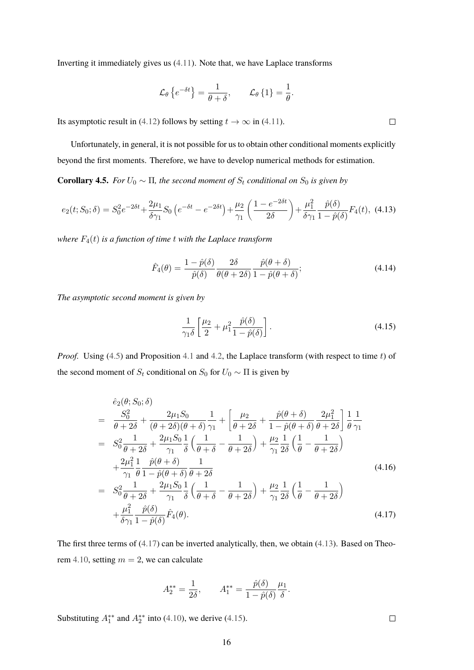Inverting it immediately gives us [\(4.11\)](#page-15-0). Note that, we have Laplace transforms

$$
\mathcal{L}_{\theta}\left\{e^{-\delta t}\right\} = \frac{1}{\theta + \delta}, \qquad \mathcal{L}_{\theta}\left\{1\right\} = \frac{1}{\theta}.
$$

Its asymptotic result in [\(4.12\)](#page-15-1) follows by setting  $t \to \infty$  in [\(4.11\)](#page-15-0).

Unfortunately, in general, it is not possible for us to obtain other conditional moments explicitly beyond the first moments. Therefore, we have to develop numerical methods for estimation.

**Corollary 4.5.** *For*  $U_0 \sim \Pi$ *, the second moment of*  $S_t$  *conditional on*  $S_0$  *is given by* 

<span id="page-16-1"></span>
$$
e_2(t; S_0; \delta) = S_0^2 e^{-2\delta t} + \frac{2\mu_1}{\delta \gamma_1} S_0 \left( e^{-\delta t} - e^{-2\delta t} \right) + \frac{\mu_2}{\gamma_1} \left( \frac{1 - e^{-2\delta t}}{2\delta} \right) + \frac{\mu_1^2}{\delta \gamma_1} \frac{\hat{p}(\delta)}{1 - \hat{p}(\delta)} F_4(t), \tag{4.13}
$$

*where* F4(t) *is a function of time* t *with the Laplace transform*

<span id="page-16-3"></span>
$$
\hat{F}_4(\theta) = \frac{1 - \hat{p}(\delta)}{\hat{p}(\delta)} \frac{2\delta}{\theta(\theta + 2\delta)} \frac{\hat{p}(\theta + \delta)}{1 - \hat{p}(\theta + \delta)}; \tag{4.14}
$$

*The asymptotic second moment is given by*

<span id="page-16-2"></span>
$$
\frac{1}{\gamma_1 \delta} \left[ \frac{\mu_2}{2} + \mu_1^2 \frac{\hat{p}(\delta)}{1 - \hat{p}(\delta)} \right].
$$
\n(4.15)

*Proof.* Using [\(4.5\)](#page-10-4) and Proposition [4.1](#page-12-0) and [4.2,](#page-13-0) the Laplace transform (with respect to time t) of the second moment of  $S_t$  conditional on  $S_0$  for  $U_0 \sim \Pi$  is given by

<span id="page-16-0"></span>
$$
\hat{e}_{2}(\theta; S_{0}; \delta)
$$
\n
$$
= \frac{S_{0}^{2}}{\theta + 2\delta} + \frac{2\mu_{1}S_{0}}{(\theta + 2\delta)(\theta + \delta)} \frac{1}{\gamma_{1}} + \left[\frac{\mu_{2}}{\theta + 2\delta} + \frac{\hat{p}(\theta + \delta)}{1 - \hat{p}(\theta + \delta)} \frac{2\mu_{1}^{2}}{\theta + 2\delta}\right] \frac{1}{\theta} \frac{1}{\gamma_{1}}
$$
\n
$$
= S_{0}^{2} \frac{1}{\theta + 2\delta} + \frac{2\mu_{1}S_{0}}{\gamma_{1}} \frac{1}{\delta} \left(\frac{1}{\theta + \delta} - \frac{1}{\theta + 2\delta}\right) + \frac{\mu_{2}}{\gamma_{1}} \frac{1}{2\delta} \left(\frac{1}{\theta} - \frac{1}{\theta + 2\delta}\right)
$$
\n
$$
+ \frac{2\mu_{1}^{2}}{\gamma_{1}} \frac{1}{\theta} \frac{\hat{p}(\theta + \delta)}{1 - \hat{p}(\theta + \delta)} \frac{1}{\theta + 2\delta}
$$
\n
$$
= S_{0}^{2} \frac{1}{\theta + 2\delta} + \frac{2\mu_{1}S_{0}}{\gamma_{1}} \frac{1}{\delta} \left(\frac{1}{\theta + \delta} - \frac{1}{\theta + 2\delta}\right) + \frac{\mu_{2}}{\gamma_{1}} \frac{1}{2\delta} \left(\frac{1}{\theta} - \frac{1}{\theta + 2\delta}\right)
$$
\n
$$
+ \frac{\mu_{1}^{2}}{\delta \gamma_{1}} \frac{\hat{p}(\delta)}{1 - \hat{p}(\delta)} \hat{F}_{4}(\theta).
$$
\n(4.17)

The first three terms of [\(4.17\)](#page-16-0) can be inverted analytically, then, we obtain [\(4.13\)](#page-16-1). Based on Theo-rem [4.10,](#page-14-1) setting  $m = 2$ , we can calculate

$$
A_2^{**} = \frac{1}{2\delta}, \qquad A_1^{**} = \frac{\hat{p}(\delta)}{1 - \hat{p}(\delta)} \frac{\mu_1}{\delta}.
$$

Substituting  $A_1^{**}$  and  $A_2^{**}$  into [\(4.10\)](#page-14-1), we derive [\(4.15\)](#page-16-2).

 $\Box$ 

 $\Box$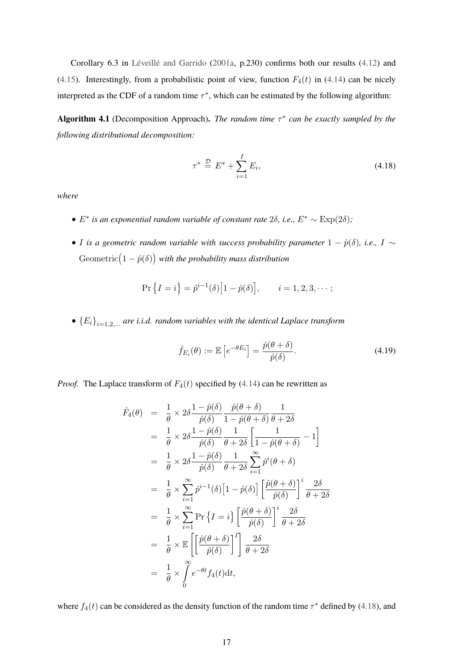Corollary 6.3 in [Léveillé and Garrido](#page-31-5) [\(2001a,](#page-31-5) p.230) confirms both our results [\(4.12\)](#page-15-1) and [\(4.15\)](#page-16-2). Interestingly, from a probabilistic point of view, function  $F_4(t)$  in [\(4.14\)](#page-16-3) can be nicely interpreted as the CDF of a random time  $\tau^*$ , which can be estimated by the following algorithm:

<span id="page-17-2"></span>**Algorithm 4.1** (Decomposition Approach)**.** *The random time* τ ∗ *can be exactly sampled by the following distributional decomposition:*

<span id="page-17-0"></span>
$$
\tau^* \stackrel{\mathcal{D}}{=} E^* + \sum_{i=1}^I E_i,\tag{4.18}
$$

*where*

- $\bullet$  *E*<sup>\*</sup> *is an exponential random variable of constant rate 2δ, i.e.,*  $E^* \sim \text{Exp}(2\delta)$ *;*
- *I* is a geometric random variable with success probability parameter  $1 \hat{p}(\delta)$ , i.e.,  $I \sim$ Geometric $(1 - \hat{p}(\delta))$  with the probability mass distribution

$$
\Pr\left\{I = i\right\} = \hat{p}^{i-1}(\delta) \Big[1 - \hat{p}(\delta)\Big], \qquad i = 1, 2, 3, \cdots;
$$

 $\bullet$   ${E_i}_{i=1,2,...}$  are *i.i.d.* random variables with the identical Laplace transform

<span id="page-17-1"></span>
$$
\hat{f}_{E_i}(\theta) := \mathbb{E}\left[e^{-\theta E_i}\right] = \frac{\hat{p}(\theta + \delta)}{\hat{p}(\delta)}.
$$
\n(4.19)

*Proof.* The Laplace transform of  $F_4(t)$  specified by [\(4.14\)](#page-16-3) can be rewritten as

$$
\hat{F}_4(\theta) = \frac{1}{\theta} \times 2\delta \frac{1 - \hat{p}(\delta)}{\hat{p}(\delta)} \frac{\hat{p}(\theta + \delta)}{1 - \hat{p}(\theta + \delta)} \frac{1}{\theta + 2\delta}
$$
\n
$$
= \frac{1}{\theta} \times 2\delta \frac{1 - \hat{p}(\delta)}{\hat{p}(\delta)} \frac{1}{\theta + 2\delta} \left[ \frac{1}{1 - \hat{p}(\theta + \delta)} - 1 \right]
$$
\n
$$
= \frac{1}{\theta} \times 2\delta \frac{1 - \hat{p}(\delta)}{\hat{p}(\delta)} \frac{1}{\theta + 2\delta} \sum_{i=1}^{\infty} \hat{p}^i(\theta + \delta)
$$
\n
$$
= \frac{1}{\theta} \times \sum_{i=1}^{\infty} \hat{p}^{i-1}(\delta) \left[ 1 - \hat{p}(\delta) \right] \left[ \frac{\hat{p}(\theta + \delta)}{\hat{p}(\delta)} \right]^i \frac{2\delta}{\theta + 2\delta}
$$
\n
$$
= \frac{1}{\theta} \times \sum_{i=1}^{\infty} \Pr \left\{ I = i \right\} \left[ \frac{\hat{p}(\theta + \delta)}{\hat{p}(\delta)} \right]^i \frac{2\delta}{\theta + 2\delta}
$$
\n
$$
= \frac{1}{\theta} \times \mathbb{E} \left[ \left[ \frac{\hat{p}(\theta + \delta)}{\hat{p}(\delta)} \right]^I \right] \frac{2\delta}{\theta + 2\delta}
$$
\n
$$
= \frac{1}{\theta} \times \int_0^{\infty} e^{-\theta t} f_4(t) dt,
$$

where  $f_4(t)$  can be considered as the density function of the random time  $\tau^*$  defined by [\(4.18\)](#page-17-0), and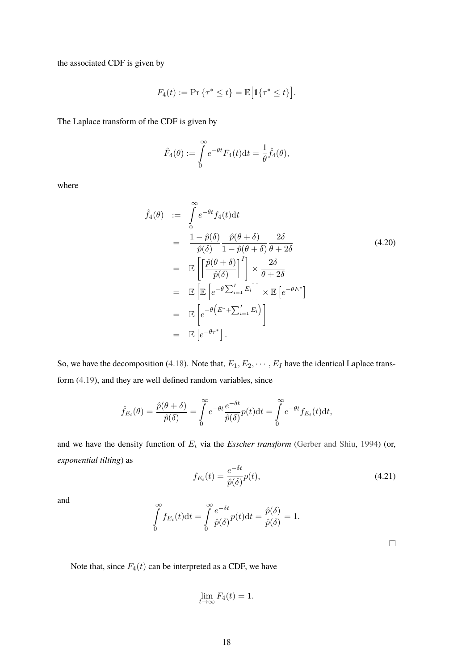the associated CDF is given by

$$
F_4(t) := \Pr\left\{\tau^* \le t\right\} = \mathbb{E}\big[\mathbf{1}\{\tau^* \le t\}\big].
$$

The Laplace transform of the CDF is given by

$$
\hat{F}_4(\theta) := \int\limits_0^\infty e^{-\theta t} F_4(t) \mathrm{d}t = \frac{1}{\theta} \hat{f}_4(\theta),
$$

where

<span id="page-18-0"></span>
$$
\hat{f}_4(\theta) := \int_0^\infty e^{-\theta t} f_4(t) dt
$$
\n
$$
= \frac{1 - \hat{p}(\delta)}{\hat{p}(\delta)} \frac{\hat{p}(\theta + \delta)}{1 - \hat{p}(\theta + \delta)} \frac{2\delta}{\theta + 2\delta}
$$
\n
$$
= \mathbb{E}\left[\left[\frac{\hat{p}(\theta + \delta)}{\hat{p}(\delta)}\right]^I\right] \times \frac{2\delta}{\theta + 2\delta}
$$
\n
$$
= \mathbb{E}\left[\mathbb{E}\left[e^{-\theta \sum_{i=1}^I E_i}\right]\right] \times \mathbb{E}\left[e^{-\theta E^*}\right]
$$
\n
$$
= \mathbb{E}\left[e^{-\theta \left(E^* + \sum_{i=1}^I E_i\right)}\right]
$$
\n
$$
= \mathbb{E}\left[e^{-\theta \tau^*}\right].
$$
\n(4.20)

So, we have the decomposition [\(4.18\)](#page-17-0). Note that,  $E_1, E_2, \dots, E_I$  have the identical Laplace transform [\(4.19\)](#page-17-1), and they are well defined random variables, since

$$
\hat{f}_{E_i}(\theta) = \frac{\hat{p}(\theta + \delta)}{\hat{p}(\delta)} = \int_0^\infty e^{-\theta t} \frac{e^{-\delta t}}{\hat{p}(\delta)} p(t) dt = \int_0^\infty e^{-\theta t} f_{E_i}(t) dt,
$$

and we have the density function of  $E_i$  via the *Esscher transform* [\(Gerber and Shiu,](#page-31-17) [1994\)](#page-31-17) (or, *exponential tilting*) as −δt

<span id="page-18-1"></span>
$$
f_{E_i}(t) = \frac{e^{-\delta t}}{\hat{p}(\delta)} p(t),\tag{4.21}
$$

and

$$
\int_{0}^{\infty} f_{E_i}(t) dt = \int_{0}^{\infty} \frac{e^{-\delta t}}{\hat{p}(\delta)} p(t) dt = \frac{\hat{p}(\delta)}{\hat{p}(\delta)} = 1.
$$

 $\Box$ 

Note that, since  $F_4(t)$  can be interpreted as a CDF, we have

$$
\lim_{t \to \infty} F_4(t) = 1.
$$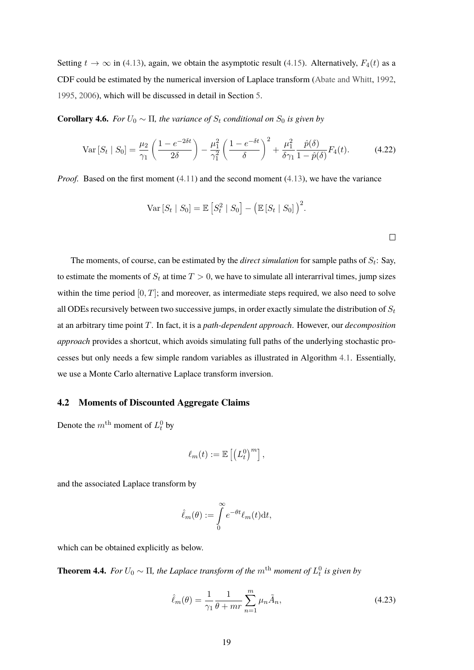Setting  $t \to \infty$  in [\(4.13\)](#page-16-1), again, we obtain the asymptotic result [\(4.15\)](#page-16-2). Alternatively,  $F_4(t)$  as a CDF could be estimated by the numerical inversion of Laplace transform [\(Abate and Whitt,](#page-30-14) [1992,](#page-30-14) [1995,](#page-30-15) [2006\)](#page-30-16), which will be discussed in detail in Section [5.](#page-21-0)

**Corollary 4.6.** *For*  $U_0 \sim \Pi$ *, the variance of*  $S_t$  *conditional on*  $S_0$  *is given by* 

<span id="page-19-1"></span>
$$
\text{Var}\left[S_t \mid S_0\right] = \frac{\mu_2}{\gamma_1} \left( \frac{1 - e^{-2\delta t}}{2\delta} \right) - \frac{\mu_1^2}{\gamma_1^2} \left( \frac{1 - e^{-\delta t}}{\delta} \right)^2 + \frac{\mu_1^2}{\delta \gamma_1} \frac{\hat{p}(\delta)}{1 - \hat{p}(\delta)} F_4(t). \tag{4.22}
$$

*Proof.* Based on the first moment [\(4.11\)](#page-15-0) and the second moment [\(4.13\)](#page-16-1), we have the variance

$$
\text{Var}\left[S_t \mid S_0\right] = \mathbb{E}\left[S_t^2 \mid S_0\right] - \left(\mathbb{E}\left[S_t \mid S_0\right]\right)^2.
$$

The moments, of course, can be estimated by the *direct simulation* for sample paths of  $S_t$ : Say, to estimate the moments of  $S_t$  at time  $T > 0$ , we have to simulate all interarrival times, jump sizes within the time period  $[0, T]$ ; and moreover, as intermediate steps required, we also need to solve all ODEs recursively between two successive jumps, in order exactly simulate the distribution of  $S_t$ at an arbitrary time point T. In fact, it is a *path-dependent approach*. However, our *decomposition approach* provides a shortcut, which avoids simulating full paths of the underlying stochastic processes but only needs a few simple random variables as illustrated in Algorithm [4.1.](#page-17-2) Essentially, we use a Monte Carlo alternative Laplace transform inversion.

#### <span id="page-19-2"></span>**4.2 Moments of Discounted Aggregate Claims**

Denote the  $m^{\text{th}}$  moment of  $L_t^0$  by

$$
\ell_m(t) := \mathbb{E}\left[\left(L_t^0\right)^m\right],
$$

and the associated Laplace transform by

$$
\hat{\ell}_m(\theta) := \int\limits_0^\infty e^{-\theta t} \ell_m(t) dt,
$$

which can be obtained explicitly as below.

**Theorem 4.4.** *For*  $U_0 \sim \Pi$ , the Laplace transform of the  $m^{\text{th}}$  moment of  $L_t^0$  is given by

<span id="page-19-0"></span>
$$
\hat{\ell}_m(\theta) = \frac{1}{\gamma_1} \frac{1}{\theta + mr} \sum_{n=1}^m \mu_n \tilde{A}_n,
$$
\n(4.23)

 $\Box$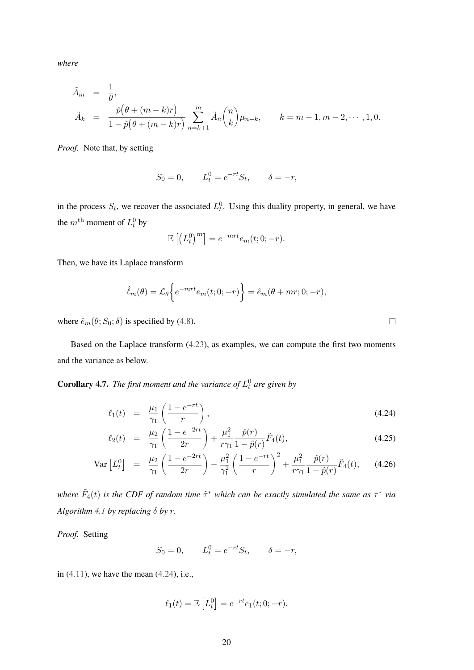*where*

$$
\tilde{A}_m = \frac{1}{\theta}, \n\tilde{A}_k = \frac{\hat{p}(\theta + (m-k)r)}{1 - \hat{p}(\theta + (m-k)r)} \sum_{n=k+1}^m \tilde{A}_n \binom{n}{k} \mu_{n-k}, \qquad k = m-1, m-2, \dots, 1, 0.
$$

*Proof.* Note that, by setting

$$
S_0 = 0
$$
,  $L_t^0 = e^{-rt}S_t$ ,  $\delta = -r$ ,

in the process  $S_t$ , we recover the associated  $L_t^0$ . Using this duality property, in general, we have the  $m^{\text{th}}$  moment of  $L_t^0$  by

$$
\mathbb{E}\left[\left(L_t^0\right)^m\right] = e^{-mrt}e_m(t;0;-r).
$$

Then, we have its Laplace transform

$$
\hat{\ell}_m(\theta) = \mathcal{L}_{\theta} \left\{ e^{-mrt} e_m(t; 0; -r) \right\} = \hat{e}_m(\theta + mr; 0; -r),
$$

where  $\hat{e}_m(\theta; S_0; \delta)$  is specified by [\(4.8\)](#page-14-2).

Based on the Laplace transform [\(4.23\)](#page-19-0), as examples, we can compute the first two moments and the variance as below.

**Corollary 4.7.** The first moment and the variance of  $L_t^0$  are given by

<span id="page-20-0"></span>
$$
\ell_1(t) = \frac{\mu_1}{\gamma_1} \left( \frac{1 - e^{-rt}}{r} \right), \tag{4.24}
$$

$$
\ell_2(t) = \frac{\mu_2}{\gamma_1} \left( \frac{1 - e^{-2rt}}{2r} \right) + \frac{\mu_1^2}{r\gamma_1} \frac{\hat{p}(r)}{1 - \hat{p}(r)} \tilde{F}_4(t), \tag{4.25}
$$

$$
\text{Var}\left[L_t^0\right] = \frac{\mu_2}{\gamma_1} \left(\frac{1 - e^{-2rt}}{2r}\right) - \frac{\mu_1^2}{\gamma_1^2} \left(\frac{1 - e^{-rt}}{r}\right)^2 + \frac{\mu_1^2}{r\gamma_1} \frac{\hat{p}(r)}{1 - \hat{p}(r)} \tilde{F}_4(t), \quad (4.26)
$$

where  $\tilde{F}_4(t)$  is the CDF of random time  $\tilde{\tau}^*$  which can be exactly simulated the same as  $\tau^*$  via *Algorithm* [4.1](#page-17-2) *by replacing*  $\delta$  *by r*.

*Proof.* Setting

 $S_0 = 0, \qquad L_t^0 = e^{-rt} S_t, \qquad \delta = -r,$ 

in  $(4.11)$ , we have the mean  $(4.24)$ , i.e.,

$$
\ell_1(t) = \mathbb{E}\left[L_t^0\right] = e^{-rt}e_1(t; 0; -r).
$$

 $\Box$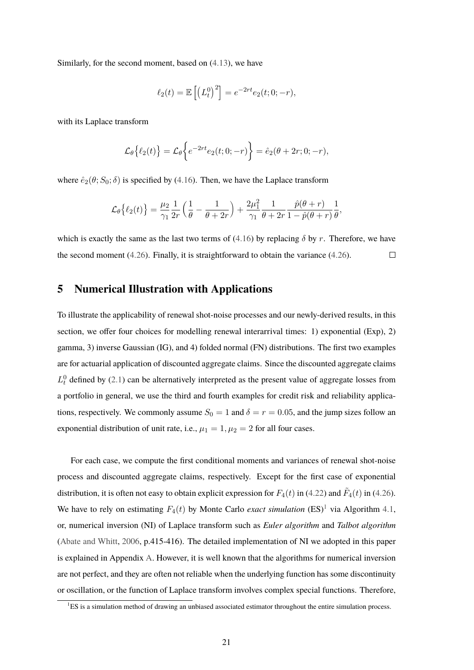Similarly, for the second moment, based on [\(4.13\)](#page-16-1), we have

$$
\ell_2(t) = \mathbb{E}\left[\left(L_t^0\right)^2\right] = e^{-2rt}e_2(t; 0; -r),
$$

with its Laplace transform

$$
\mathcal{L}_{\theta}\big\{\ell_2(t)\big\} = \mathcal{L}_{\theta}\big\{e^{-2rt}e_2(t;0;-r)\big\} = \hat{e}_2(\theta+2r;0;-r),
$$

where  $\hat{e}_2(\theta; S_0; \delta)$  is specified by [\(4.16\)](#page-16-0). Then, we have the Laplace transform

$$
\mathcal{L}_{\theta}\big\{\ell_2(t)\big\} = \frac{\mu_2}{\gamma_1}\frac{1}{2r}\left(\frac{1}{\theta}-\frac{1}{\theta+2r}\right)+\frac{2\mu_1^2}{\gamma_1}\frac{1}{\theta+2r}\frac{\hat{p}(\theta+r)}{1-\hat{p}(\theta+r)}\frac{1}{\theta},
$$

which is exactly the same as the last two terms of [\(4.16\)](#page-16-0) by replacing  $\delta$  by r. Therefore, we have the second moment [\(4.26\)](#page-20-0). Finally, it is straightforward to obtain the variance [\(4.26\)](#page-20-0).  $\Box$ 

#### <span id="page-21-0"></span>**5 Numerical Illustration with Applications**

To illustrate the applicability of renewal shot-noise processes and our newly-derived results, in this section, we offer four choices for modelling renewal interarrival times: 1) exponential (Exp), 2) gamma, 3) inverse Gaussian (IG), and 4) folded normal (FN) distributions. The first two examples are for actuarial application of discounted aggregate claims. Since the discounted aggregate claims  $L_t^0$  defined by [\(2.1\)](#page-4-1) can be alternatively interpreted as the present value of aggregate losses from a portfolio in general, we use the third and fourth examples for credit risk and reliability applications, respectively. We commonly assume  $S_0 = 1$  and  $\delta = r = 0.05$ , and the jump sizes follow an exponential distribution of unit rate, i.e.,  $\mu_1 = 1, \mu_2 = 2$  for all four cases.

For each case, we compute the first conditional moments and variances of renewal shot-noise process and discounted aggregate claims, respectively. Except for the first case of exponential distribution, it is often not easy to obtain explicit expression for  $F_4(t)$  in [\(4.22\)](#page-19-1) and  $\tilde{F}_4(t)$  in [\(4.26\)](#page-20-0). We have to rely on estimating  $F_4(t)$  by Monte Carlo *exact simulation*  $(ES)^1$  $(ES)^1$  via Algorithm [4.1,](#page-17-2) or, numerical inversion (NI) of Laplace transform such as *Euler algorithm* and *Talbot algorithm* [\(Abate and Whitt,](#page-30-16) [2006,](#page-30-16) p.415-416). The detailed implementation of NI we adopted in this paper is explained in Appendix [A.](#page-28-0) However, it is well known that the algorithms for numerical inversion are not perfect, and they are often not reliable when the underlying function has some discontinuity or oscillation, or the function of Laplace transform involves complex special functions. Therefore,

<span id="page-21-1"></span> ${}^{1}ES$  is a simulation method of drawing an unbiased associated estimator throughout the entire simulation process.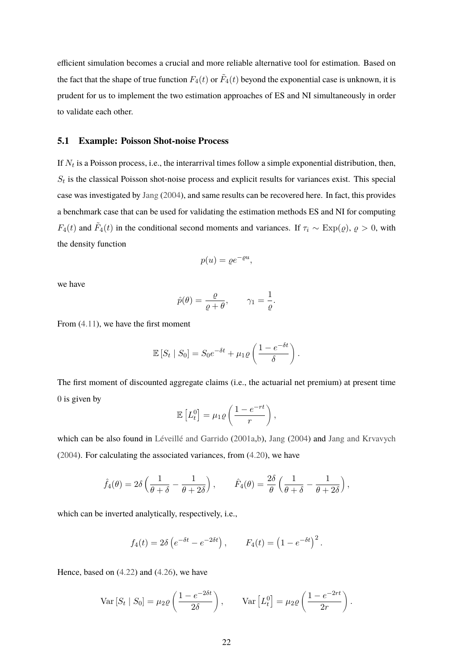efficient simulation becomes a crucial and more reliable alternative tool for estimation. Based on the fact that the shape of true function  $F_4(t)$  or  $\tilde{F}_4(t)$  beyond the exponential case is unknown, it is prudent for us to implement the two estimation approaches of ES and NI simultaneously in order to validate each other.

#### **5.1 Example: Poisson Shot-noise Process**

If  $N_t$  is a Poisson process, i.e., the interarrival times follow a simple exponential distribution, then,  $S_t$  is the classical Poisson shot-noise process and explicit results for variances exist. This special case was investigated by [Jang](#page-31-1) [\(2004\)](#page-31-1), and same results can be recovered here. In fact, this provides a benchmark case that can be used for validating the estimation methods ES and NI for computing  $F_4(t)$  and  $\tilde{F}_4(t)$  in the conditional second moments and variances. If  $\tau_i \sim \text{Exp}(\varrho)$ ,  $\varrho > 0$ , with the density function

$$
p(u) = \varrho e^{-\varrho u},
$$

we have

$$
\hat{p}(\theta) = \frac{\varrho}{\varrho + \theta}, \qquad \gamma_1 = \frac{1}{\varrho}.
$$

From [\(4.11\)](#page-15-0), we have the first moment

$$
\mathbb{E}\left[S_t \mid S_0\right] = S_0 e^{-\delta t} + \mu_1 \varrho \left(\frac{1 - e^{-\delta t}}{\delta}\right).
$$

The first moment of discounted aggregate claims (i.e., the actuarial net premium) at present time 0 is given by

$$
\mathbb{E}\left[L_t^0\right] = \mu_1 \varrho \left(\frac{1 - e^{-rt}}{r}\right),\,
$$

which can be also found in [Léveillé and Garrido](#page-31-5) [\(2001a](#page-31-5)[,b\)](#page-32-8), [Jang](#page-31-1) [\(2004\)](#page-31-1) and [Jang and Krvavych](#page-31-2) [\(2004\)](#page-31-2). For calculating the associated variances, from [\(4.20\)](#page-18-0), we have

$$
\hat{f}_4(\theta) = 2\delta \left( \frac{1}{\theta + \delta} - \frac{1}{\theta + 2\delta} \right), \qquad \hat{F}_4(\theta) = \frac{2\delta}{\theta} \left( \frac{1}{\theta + \delta} - \frac{1}{\theta + 2\delta} \right),
$$

which can be inverted analytically, respectively, i.e.,

$$
f_4(t) = 2\delta \left( e^{-\delta t} - e^{-2\delta t} \right), \qquad F_4(t) = \left( 1 - e^{-\delta t} \right)^2.
$$

Hence, based on [\(4.22\)](#page-19-1) and [\(4.26\)](#page-20-0), we have

$$
\text{Var}\left[S_t \mid S_0\right] = \mu_2 \varrho \left(\frac{1 - e^{-2\delta t}}{2\delta}\right), \qquad \text{Var}\left[L_t^0\right] = \mu_2 \varrho \left(\frac{1 - e^{-2rt}}{2r}\right).
$$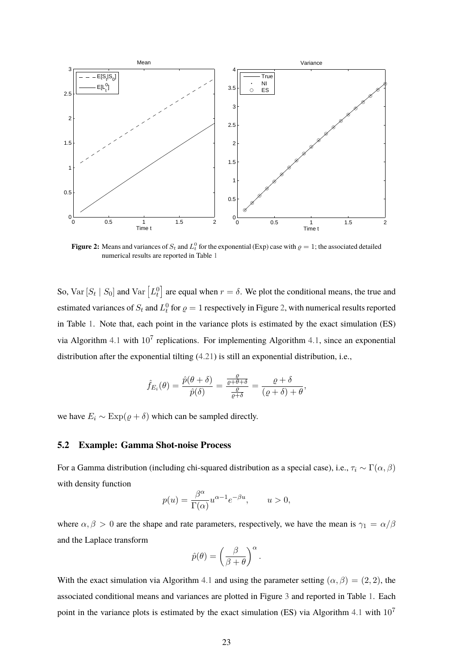<span id="page-23-0"></span>

**Figure 2:** Means and variances of  $S_t$  and  $L_t^0$  for the exponential (Exp) case with  $\varrho = 1$ ; the associated detailed numerical results are reported in Table [1](#page-24-0)

So,  $Var[S_t | S_0]$  and  $Var[L_t^0]$  are equal when  $r = \delta$ . We plot the conditional means, the true and estimated variances of  $S_t$  and  $L_t^0$  for  $\varrho = 1$  respectively in Figure [2,](#page-23-0) with numerical results reported in Table [1.](#page-24-0) Note that, each point in the variance plots is estimated by the exact simulation (ES) via Algorithm [4.1](#page-17-2) with  $10^7$  replications. For implementing Algorithm [4.1,](#page-17-2) since an exponential distribution after the exponential tilting [\(4.21\)](#page-18-1) is still an exponential distribution, i.e.,

$$
\hat{f}_{E_i}(\theta) = \frac{\hat{p}(\theta + \delta)}{\hat{p}(\delta)} = \frac{\frac{\rho}{\rho + \theta + \delta}}{\frac{\rho}{\rho + \delta}} = \frac{\rho + \delta}{(\rho + \delta) + \theta},
$$

we have  $E_i \sim \text{Exp}(\varrho + \delta)$  which can be sampled directly.

#### **5.2 Example: Gamma Shot-noise Process**

For a Gamma distribution (including chi-squared distribution as a special case), i.e.,  $\tau_i \sim \Gamma(\alpha, \beta)$ with density function

$$
p(u) = \frac{\beta^{\alpha}}{\Gamma(\alpha)} u^{\alpha - 1} e^{-\beta u}, \qquad u > 0,
$$

where  $\alpha, \beta > 0$  are the shape and rate parameters, respectively, we have the mean is  $\gamma_1 = \alpha/\beta$ and the Laplace transform

$$
\hat{p}(\theta) = \left(\frac{\beta}{\beta + \theta}\right)^{\alpha}.
$$

With the exact simulation via Algorithm [4.1](#page-17-2) and using the parameter setting  $(\alpha, \beta) = (2, 2)$ , the associated conditional means and variances are plotted in Figure [3](#page-25-0) and reported in Table [1.](#page-24-0) Each point in the variance plots is estimated by the exact simulation (ES) via Algorithm [4.1](#page-17-2) with  $10<sup>7</sup>$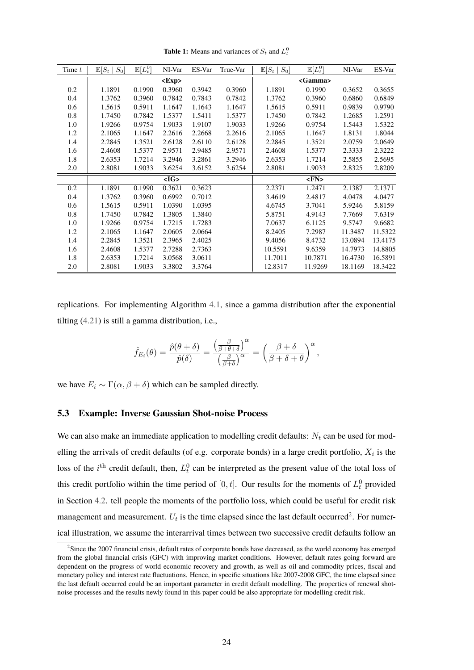<span id="page-24-0"></span>

| Time $t$ | $S_0$<br>$\mathbb{E}[S_t]$ | $\mathbb{E}[L_t^0]$ | NI-Var          | ES-Var | True-Var | $S_0$<br>$\mathbb{E}[S_t]$ | $\mathbb{E}[L_t^0]$ | NI-Var  | ES-Var  |
|----------|----------------------------|---------------------|-----------------|--------|----------|----------------------------|---------------------|---------|---------|
|          |                            |                     | $<\!\!Exp\!\!>$ |        |          |                            | <gamma></gamma>     |         |         |
| 0.2      | 1.1891                     | 0.1990              | 0.3960          | 0.3942 | 0.3960   | 1.1891                     | 0.1990              | 0.3652  | 0.3655  |
| 0.4      | 1.3762                     | 0.3960              | 0.7842          | 0.7843 | 0.7842   | 1.3762                     | 0.3960              | 0.6860  | 0.6849  |
| 0.6      | 1.5615                     | 0.5911              | 1.1647          | 1.1643 | 1.1647   | 1.5615                     | 0.5911              | 0.9839  | 0.9790  |
| 0.8      | 1.7450                     | 0.7842              | 1.5377          | 1.5411 | 1.5377   | 1.7450                     | 0.7842              | 1.2685  | 1.2591  |
| 1.0      | 1.9266                     | 0.9754              | 1.9033          | 1.9107 | 1.9033   | 1.9266                     | 0.9754              | 1.5443  | 1.5322  |
| 1.2      | 2.1065                     | 1.1647              | 2.2616          | 2.2668 | 2.2616   | 2.1065                     | 1.1647              | 1.8131  | 1.8044  |
| 1.4      | 2.2845                     | 1.3521              | 2.6128          | 2.6110 | 2.6128   | 2.2845                     | 1.3521              | 2.0759  | 2.0649  |
| 1.6      | 2.4608                     | 1.5377              | 2.9571          | 2.9485 | 2.9571   | 2.4608                     | 1.5377              | 2.3333  | 2.3222  |
| 1.8      | 2.6353                     | 1.7214              | 3.2946          | 3.2861 | 3.2946   | 2.6353                     | 1.7214              | 2.5855  | 2.5695  |
| 2.0      | 2.8081                     | 1.9033              | 3.6254          | 3.6152 | 3.6254   | 2.8081                     | 1.9033              | 2.8325  | 2.8209  |
|          |                            |                     | $<$ IG>         |        |          |                            | FN>                 |         |         |
| 0.2      | 1.1891                     | 0.1990              | 0.3621          | 0.3623 |          | 2.2371                     | 1.2471              | 2.1387  | 2.1371  |
| 0.4      | 1.3762                     | 0.3960              | 0.6992          | 0.7012 |          | 3.4619                     | 2.4817              | 4.0478  | 4.0477  |
| 0.6      | 1.5615                     | 0.5911              | 1.0390          | 1.0395 |          | 4.6745                     | 3.7041              | 5.9246  | 5.8159  |
| 0.8      | 1.7450                     | 0.7842              | 1.3805          | 1.3840 |          | 5.8751                     | 4.9143              | 7.7669  | 7.6319  |
| 1.0      | 1.9266                     | 0.9754              | 1.7215          | 1.7283 |          | 7.0637                     | 6.1125              | 9.5747  | 9.6682  |
| 1.2      | 2.1065                     | 1.1647              | 2.0605          | 2.0664 |          | 8.2405                     | 7.2987              | 11.3487 | 11.5322 |
| 1.4      | 2.2845                     | 1.3521              | 2.3965          | 2.4025 |          | 9.4056                     | 8.4732              | 13.0894 | 13.4175 |
| 1.6      | 2.4608                     | 1.5377              | 2.7288          | 2.7363 |          | 10.5591                    | 9.6359              | 14.7973 | 14.8805 |
| 1.8      | 2.6353                     | 1.7214              | 3.0568          | 3.0611 |          | 11.7011                    | 10.7871             | 16.4730 | 16.5891 |
| 2.0      | 2.8081                     | 1.9033              | 3.3802          | 3.3764 |          | 12.8317                    | 11.9269             | 18.1169 | 18.3422 |

**Table 1:** Means and variances of  $S_t$  and  $L_t^0$ 

replications. For implementing Algorithm [4.1,](#page-17-2) since a gamma distribution after the exponential tilting [\(4.21\)](#page-18-1) is still a gamma distribution, i.e.,

$$
\hat{f}_{E_i}(\theta) = \frac{\hat{p}(\theta+\delta)}{\hat{p}(\delta)} = \frac{\left(\frac{\beta}{\beta+\theta+\delta}\right)^{\alpha}}{\left(\frac{\beta}{\beta+\delta}\right)^{\alpha}} = \left(\frac{\beta+\delta}{\beta+\delta+\theta}\right)^{\alpha},
$$

we have  $E_i \sim \Gamma(\alpha, \beta + \delta)$  which can be sampled directly.

#### **5.3 Example: Inverse Gaussian Shot-noise Process**

We can also make an immediate application to modelling credit defaults:  $N_t$  can be used for modelling the arrivals of credit defaults (of e.g. corporate bonds) in a large credit portfolio,  $X_i$  is the loss of the *i*<sup>th</sup> credit default, then,  $L_t^0$  can be interpreted as the present value of the total loss of this credit portfolio within the time period of  $[0, t]$ . Our results for the moments of  $L_t^0$  provided in Section [4.2.](#page-19-2) tell people the moments of the portfolio loss, which could be useful for credit risk management and measurement.  $U_t$  is the time elapsed since the last default occurred<sup>[2](#page-24-1)</sup>. For numerical illustration, we assume the interarrival times between two successive credit defaults follow an

<span id="page-24-1"></span><sup>&</sup>lt;sup>2</sup>Since the 2007 financial crisis, default rates of corporate bonds have decreased, as the world economy has emerged from the global financial crisis (GFC) with improving market conditions. However, default rates going forward are dependent on the progress of world economic recovery and growth, as well as oil and commodity prices, fiscal and monetary policy and interest rate fluctuations. Hence, in specific situations like 2007-2008 GFC, the time elapsed since the last default occurred could be an important parameter in credit default modelling. The properties of renewal shotnoise processes and the results newly found in this paper could be also appropriate for modelling credit risk.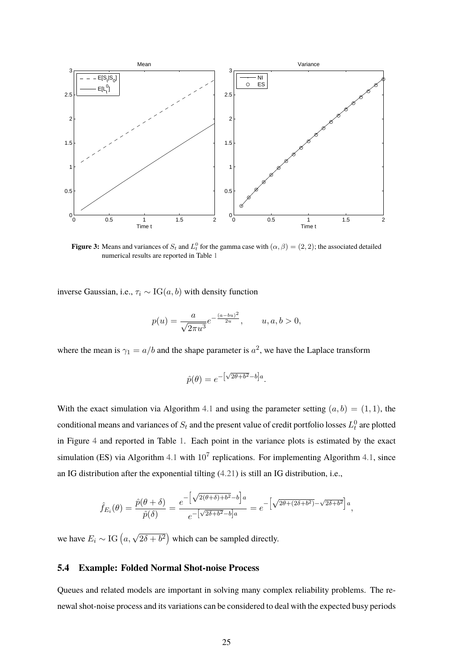<span id="page-25-0"></span>

**Figure 3:** Means and variances of  $S_t$  and  $L_t^0$  for the gamma case with  $(\alpha, \beta) = (2, 2)$ ; the associated detailed numerical results are reported in Table [1](#page-24-0)

inverse Gaussian, i.e.,  $\tau_i \sim \text{IG}(a, b)$  with density function

$$
p(u) = \frac{a}{\sqrt{2\pi u^3}} e^{-\frac{(a - bu)^2}{2u}}, \qquad u, a, b > 0,
$$

where the mean is  $\gamma_1 = a/b$  and the shape parameter is  $a^2$ , we have the Laplace transform

$$
\hat{p}(\theta) = e^{-\left[\sqrt{2\theta + b^2} - b\right]a}.
$$

With the exact simulation via Algorithm [4.1](#page-17-2) and using the parameter setting  $(a, b) = (1, 1)$ , the conditional means and variances of  $S_t$  and the present value of credit portfolio losses  $L_t^0$  are plotted in Figure [4](#page-26-0) and reported in Table [1.](#page-24-0) Each point in the variance plots is estimated by the exact simulation (ES) via Algorithm [4.1](#page-17-2) with  $10^7$  replications. For implementing Algorithm [4.1,](#page-17-2) since an IG distribution after the exponential tilting [\(4.21\)](#page-18-1) is still an IG distribution, i.e.,

$$
\hat{f}_{E_i}(\theta) = \frac{\hat{p}(\theta + \delta)}{\hat{p}(\delta)} = \frac{e^{-\left[\sqrt{2(\theta + \delta) + b^2} - b\right]a}}{e^{-\left[\sqrt{2\delta + b^2} - b\right]a}} = e^{-\left[\sqrt{2\theta + (2\delta + b^2)} - \sqrt{2\delta + b^2}\right]a},
$$

we have  $E_i \sim \text{IG}\left(a, \sqrt{2\delta + b^2}\right)$  which can be sampled directly.

#### **5.4 Example: Folded Normal Shot-noise Process**

Queues and related models are important in solving many complex reliability problems. The renewal shot-noise process and its variations can be considered to deal with the expected busy periods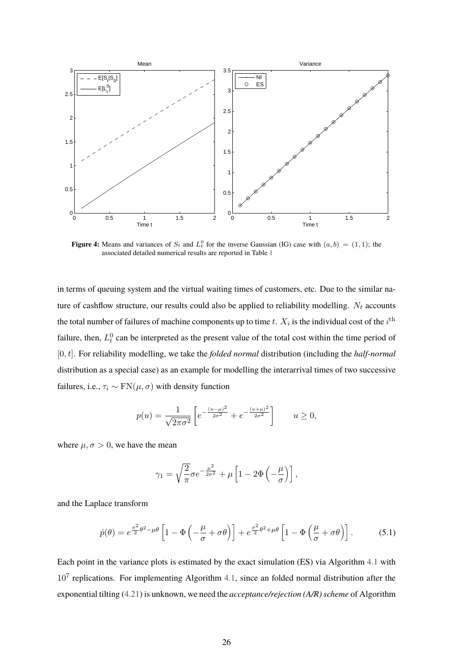<span id="page-26-0"></span>

**Figure 4:** Means and variances of  $S_t$  and  $L_t^0$  for the inverse Gaussian (IG) case with  $(a, b) = (1, 1)$ ; the associated detailed numerical results are reported in Table [1](#page-24-0)

in terms of queuing system and the virtual waiting times of customers, etc. Due to the similar nature of cashflow structure, our results could also be applied to reliability modelling.  $N_t$  accounts the total number of failures of machine components up to time  $t$ .  $X_i$  is the individual cost of the  $i^{\rm th}$ failure, then,  $L_t^0$  can be interpreted as the present value of the total cost within the time period of [0, t]. For reliability modelling, we take the *folded normal* distribution (including the *half-normal* distribution as a special case) as an example for modelling the interarrival times of two successive failures, i.e.,  $\tau_i \sim \text{FN}(\mu, \sigma)$  with density function

$$
p(u) = \frac{1}{\sqrt{2\pi\sigma^2}} \left[ e^{-\frac{(u-\mu)^2}{2\sigma^2}} + e^{-\frac{(u+\mu)^2}{2\sigma^2}} \right] \qquad u \ge 0,
$$

where  $\mu, \sigma > 0$ , we have the mean

$$
\gamma_1 = \sqrt{\frac{2}{\pi}} \sigma e^{-\frac{\mu^2}{2\sigma^2}} + \mu \left[ 1 - 2\Phi\left(-\frac{\mu}{\sigma}\right) \right],
$$

and the Laplace transform

<span id="page-26-1"></span>
$$
\hat{p}(\theta) = e^{\frac{\sigma^2}{2}\theta^2 - \mu\theta} \left[ 1 - \Phi\left( -\frac{\mu}{\sigma} + \sigma\theta \right) \right] + e^{\frac{\sigma^2}{2}\theta^2 + \mu\theta} \left[ 1 - \Phi\left( \frac{\mu}{\sigma} + \sigma\theta \right) \right].
$$
 (5.1)

Each point in the variance plots is estimated by the exact simulation (ES) via Algorithm [4.1](#page-17-2) with  $10<sup>7</sup>$  replications. For implementing Algorithm [4.1,](#page-17-2) since an folded normal distribution after the exponential tilting [\(4.21\)](#page-18-1) is unknown, we need the *acceptance/rejection (A/R) scheme* of Algorithm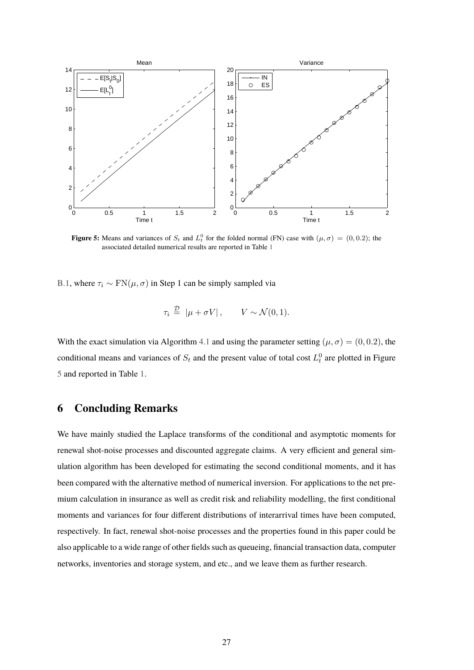<span id="page-27-1"></span>

**Figure 5:** Means and variances of  $S_t$  and  $L_t^0$  for the folded normal (FN) case with  $(\mu, \sigma) = (0, 0.2)$ ; the associated detailed numerical results are reported in Table [1](#page-24-0)

[B.1,](#page-29-0) where  $\tau_i \sim \text{FN}(\mu, \sigma)$  in Step 1 can be simply sampled via

$$
\tau_i \stackrel{\mathcal{D}}{=} |\mu + \sigma V|, \qquad V \sim \mathcal{N}(0, 1).
$$

With the exact simulation via Algorithm [4.1](#page-17-2) and using the parameter setting ( $\mu$ ,  $\sigma$ ) = (0, 0.2), the conditional means and variances of  $S_t$  and the present value of total cost  $L_t^0$  are plotted in Figure [5](#page-27-1) and reported in Table [1.](#page-24-0)

#### <span id="page-27-0"></span>**6 Concluding Remarks**

We have mainly studied the Laplace transforms of the conditional and asymptotic moments for renewal shot-noise processes and discounted aggregate claims. A very efficient and general simulation algorithm has been developed for estimating the second conditional moments, and it has been compared with the alternative method of numerical inversion. For applications to the net premium calculation in insurance as well as credit risk and reliability modelling, the first conditional moments and variances for four different distributions of interarrival times have been computed, respectively. In fact, renewal shot-noise processes and the properties found in this paper could be also applicable to a wide range of other fields such as queueing, financial transaction data, computer networks, inventories and storage system, and etc., and we leave them as further research.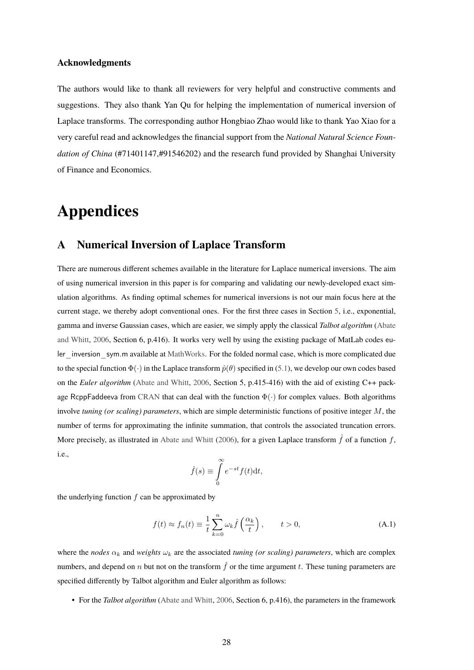#### **Acknowledgments**

The authors would like to thank all reviewers for very helpful and constructive comments and suggestions. They also thank Yan Qu for helping the implementation of numerical inversion of Laplace transforms. The corresponding author Hongbiao Zhao would like to thank Yao Xiao for a very careful read and acknowledges the financial support from the *National Natural Science Foundation of China* (#71401147,#91546202) and the research fund provided by Shanghai University of Finance and Economics.

### **Appendices**

#### <span id="page-28-0"></span>**A Numerical Inversion of Laplace Transform**

There are numerous different schemes available in the literature for Laplace numerical inversions. The aim of using numerical inversion in this paper is for comparing and validating our newly-developed exact simulation algorithms. As finding optimal schemes for numerical inversions is not our main focus here at the current stage, we thereby adopt conventional ones. For the first three cases in Section [5,](#page-21-0) i.e., exponential, gamma and inverse Gaussian cases, which are easier, we simply apply the classical *Talbot algorithm* [\(Abate](#page-30-16) [and Whitt,](#page-30-16) [2006,](#page-30-16) Section 6, p.416). It works very well by using the existing package of MatLab codes eu-ler inversion sym.m available at [MathWorks.](https://uk.mathworks.com/matlabcentral/fileexchange/39035-numerical-inverse-laplace-transform) For the folded normal case, which is more complicated due to the special function  $\Phi(\cdot)$  in the Laplace transform  $\hat{p}(\theta)$  specified in [\(5.1\)](#page-26-1), we develop our own codes based on the *Euler algorithm* [\(Abate and Whitt,](#page-30-16) [2006,](#page-30-16) Section 5, p.415-416) with the aid of existing C++ pack-age RcppFaddeeva from [CRAN](https://cran.r-project.org/web/packages/RcppFaddeeva/) that can deal with the function  $\Phi(\cdot)$  for complex values. Both algorithms involve *tuning (or scaling) parameters*, which are simple deterministic functions of positive integer M, the number of terms for approximating the infinite summation, that controls the associated truncation errors. More precisely, as illustrated in [Abate and Whitt](#page-30-16) [\(2006\)](#page-30-16), for a given Laplace transform  $\hat{f}$  of a function f, i.e.,

$$
\hat{f}(s) \equiv \int_{0}^{\infty} e^{-st} f(t) \mathrm{d}t,
$$

the underlying function  $f$  can be approximated by

<span id="page-28-1"></span>
$$
f(t) \approx f_n(t) \equiv \frac{1}{t} \sum_{k=0}^n \omega_k \hat{f}\left(\frac{\alpha_k}{t}\right), \qquad t > 0,
$$
 (A.1)

where the *nodes*  $\alpha_k$  and *weights*  $\omega_k$  are the associated *tuning (or scaling) parameters*, which are complex numbers, and depend on n but not on the transform  $\hat{f}$  or the time argument t. These tuning parameters are specified differently by Talbot algorithm and Euler algorithm as follows:

• For the *Talbot algorithm* [\(Abate and Whitt,](#page-30-16) [2006,](#page-30-16) Section 6, p.416), the parameters in the framework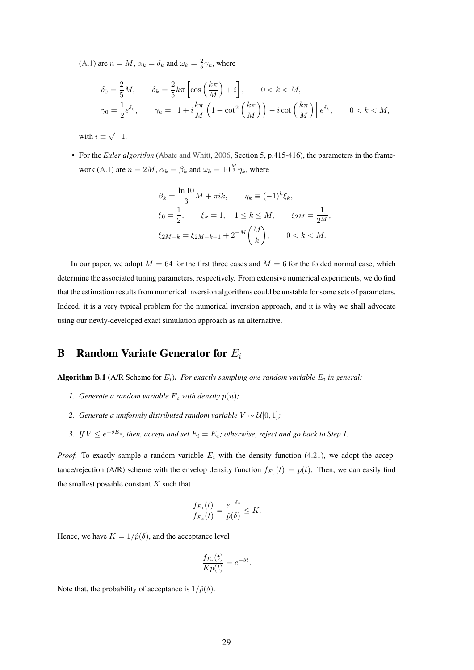[\(A.1\)](#page-28-1) are  $n = M$ ,  $\alpha_k = \delta_k$  and  $\omega_k = \frac{2}{5}\gamma_k$ , where

$$
\delta_0 = \frac{2}{5}M, \qquad \delta_k = \frac{2}{5}k\pi \left[ \cos\left(\frac{k\pi}{M}\right) + i \right], \qquad 0 < k < M,
$$
\n
$$
\gamma_0 = \frac{1}{2}e^{\delta_0}, \qquad \gamma_k = \left[ 1 + i\frac{k\pi}{M} \left( 1 + \cot^2\left(\frac{k\pi}{M}\right) \right) - i\cot\left(\frac{k\pi}{M}\right) \right] e^{\delta_k}, \qquad 0 < k < M,
$$

with  $i \equiv \sqrt{-1}$ .

• For the *Euler algorithm* [\(Abate and Whitt,](#page-30-16) [2006,](#page-30-16) Section 5, p.415-416), the parameters in the frame-work [\(A.1\)](#page-28-1) are  $n = 2M$ ,  $\alpha_k = \beta_k$  and  $\omega_k = 10^{\frac{M}{3}} \eta_k$ , where

$$
\beta_k = \frac{\ln 10}{3} M + \pi i k, \qquad \eta_k \equiv (-1)^k \xi_k,
$$
  
\n
$$
\xi_0 = \frac{1}{2}, \qquad \xi_k = 1, \quad 1 \le k \le M, \qquad \xi_{2M} = \frac{1}{2^M},
$$
  
\n
$$
\xi_{2M-k} = \xi_{2M-k+1} + 2^{-M} {M \choose k}, \qquad 0 < k < M.
$$

In our paper, we adopt  $M = 64$  for the first three cases and  $M = 6$  for the folded normal case, which determine the associated tuning parameters, respectively. From extensive numerical experiments, we do find that the estimation results from numerical inversion algorithms could be unstable for some sets of parameters. Indeed, it is a very typical problem for the numerical inversion approach, and it is why we shall advocate using our newly-developed exact simulation approach as an alternative.

#### **B** Random Variate Generator for  $E_i$

<span id="page-29-0"></span>**Algorithm B.1** (A/R Scheme for  $E_i$ ). For exactly sampling one random variable  $E_i$  in general:

- *1. Generate a random variable*  $E_e$  *with density*  $p(u)$ *;*
- *2. Generate a uniformly distributed random variable*  $V ∼ U[0, 1]$ *;*
- 3. If  $V \le e^{-\delta E_e}$ , then, accept and set  $E_i = E_e$ ; otherwise, reject and go back to Step 1.

*Proof.* To exactly sample a random variable  $E_i$  with the density function [\(4.21\)](#page-18-1), we adopt the acceptance/rejection (A/R) scheme with the envelop density function  $f_{E_e}(t) = p(t)$ . Then, we can easily find the smallest possible constant  $K$  such that

$$
\frac{f_{E_i}(t)}{f_{E_e}(t)} = \frac{e^{-\delta t}}{\hat{p}(\delta)} \leq K.
$$

Hence, we have  $K = 1/\hat{p}(\delta)$ , and the acceptance level

$$
\frac{f_{E_i}(t)}{Kp(t)} = e^{-\delta t}.
$$

Note that, the probability of acceptance is  $1/\hat{p}(\delta)$ .

 $\Box$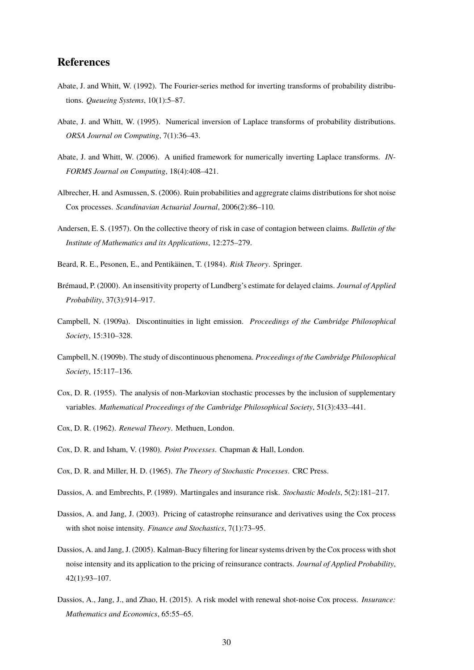#### **References**

- <span id="page-30-14"></span>Abate, J. and Whitt, W. (1992). The Fourier-series method for inverting transforms of probability distributions. *Queueing Systems*, 10(1):5–87.
- <span id="page-30-15"></span>Abate, J. and Whitt, W. (1995). Numerical inversion of Laplace transforms of probability distributions. *ORSA Journal on Computing*, 7(1):36–43.
- <span id="page-30-16"></span>Abate, J. and Whitt, W. (2006). A unified framework for numerically inverting Laplace transforms. *IN-FORMS Journal on Computing*, 18(4):408–421.
- <span id="page-30-5"></span>Albrecher, H. and Asmussen, S. (2006). Ruin probabilities and aggregrate claims distributions for shot noise Cox processes. *Scandinavian Actuarial Journal*, 2006(2):86–110.
- <span id="page-30-10"></span>Andersen, E. S. (1957). On the collective theory of risk in case of contagion between claims. *Bulletin of the Institute of Mathematics and its Applications*, 12:275–279.
- <span id="page-30-7"></span>Beard, R. E., Pesonen, E., and Pentikäinen, T. (1984). *Risk Theory*. Springer.
- <span id="page-30-2"></span>Brémaud, P. (2000). An insensitivity property of Lundberg's estimate for delayed claims. *Journal of Applied Probability*, 37(3):914–917.
- <span id="page-30-0"></span>Campbell, N. (1909a). Discontinuities in light emission. *Proceedings of the Cambridge Philosophical Society*, 15:310–328.
- <span id="page-30-1"></span>Campbell, N. (1909b). The study of discontinuous phenomena. *Proceedings of the Cambridge Philosophical Society*, 15:117–136.
- <span id="page-30-13"></span>Cox, D. R. (1955). The analysis of non-Markovian stochastic processes by the inclusion of supplementary variables. *Mathematical Proceedings of the Cambridge Philosophical Society*, 51(3):433–441.
- <span id="page-30-8"></span>Cox, D. R. (1962). *Renewal Theory*. Methuen, London.
- <span id="page-30-6"></span>Cox, D. R. and Isham, V. (1980). *Point Processes*. Chapman & Hall, London.
- <span id="page-30-9"></span>Cox, D. R. and Miller, H. D. (1965). *The Theory of Stochastic Processes*. CRC Press.
- <span id="page-30-11"></span>Dassios, A. and Embrechts, P. (1989). Martingales and insurance risk. *Stochastic Models*, 5(2):181–217.
- <span id="page-30-3"></span>Dassios, A. and Jang, J. (2003). Pricing of catastrophe reinsurance and derivatives using the Cox process with shot noise intensity. *Finance and Stochastics*, 7(1):73–95.
- <span id="page-30-4"></span>Dassios, A. and Jang, J. (2005). Kalman-Bucy filtering for linear systems driven by the Cox process with shot noise intensity and its application to the pricing of reinsurance contracts. *Journal of Applied Probability*, 42(1):93–107.
- <span id="page-30-12"></span>Dassios, A., Jang, J., and Zhao, H. (2015). A risk model with renewal shot-noise Cox process. *Insurance: Mathematics and Economics*, 65:55–65.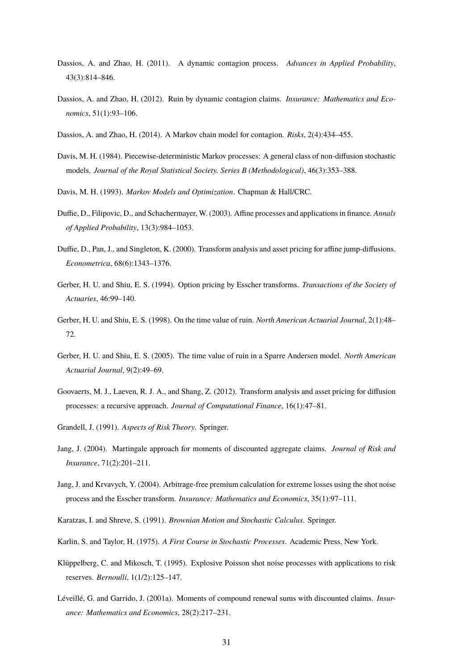- <span id="page-31-12"></span>Dassios, A. and Zhao, H. (2011). A dynamic contagion process. *Advances in Applied Probability*, 43(3):814–846.
- <span id="page-31-13"></span>Dassios, A. and Zhao, H. (2012). Ruin by dynamic contagion claims. *Insurance: Mathematics and Economics*, 51(1):93–106.
- <span id="page-31-14"></span>Dassios, A. and Zhao, H. (2014). A Markov chain model for contagion. *Risks*, 2(4):434–455.
- <span id="page-31-8"></span>Davis, M. H. (1984). Piecewise-deterministic Markov processes: A general class of non-diffusion stochastic models. *Journal of the Royal Statistical Society. Series B (Methodological)*, 46(3):353–388.
- <span id="page-31-9"></span>Davis, M. H. (1993). *Markov Models and Optimization*. Chapman & Hall/CRC.
- <span id="page-31-11"></span>Duffie, D., Filipovic, D., and Schachermayer, W. (2003). Affine processes and applications in finance. *Annals of Applied Probability*, 13(3):984–1053.
- <span id="page-31-10"></span>Duffie, D., Pan, J., and Singleton, K. (2000). Transform analysis and asset pricing for affine jump-diffusions. *Econometrica*, 68(6):1343–1376.
- <span id="page-31-17"></span>Gerber, H. U. and Shiu, E. S. (1994). Option pricing by Esscher transforms. *Transactions of the Society of Actuaries*, 46:99–140.
- <span id="page-31-6"></span>Gerber, H. U. and Shiu, E. S. (1998). On the time value of ruin. *North American Actuarial Journal*, 2(1):48– 72.
- <span id="page-31-7"></span>Gerber, H. U. and Shiu, E. S. (2005). The time value of ruin in a Sparre Andersen model. *North American Actuarial Journal*, 9(2):49–69.
- <span id="page-31-16"></span>Goovaerts, M. J., Laeven, R. J. A., and Shang, Z. (2012). Transform analysis and asset pricing for diffusion processes: a recursive approach. *Journal of Computational Finance*, 16(1):47–81.
- <span id="page-31-4"></span>Grandell, J. (1991). *Aspects of Risk Theory*. Springer.
- <span id="page-31-1"></span>Jang, J. (2004). Martingale approach for moments of discounted aggregate claims. *Journal of Risk and Insurance*, 71(2):201–211.
- <span id="page-31-2"></span>Jang, J. and Krvavych, Y. (2004). Arbitrage-free premium calculation for extreme losses using the shot noise process and the Esscher transform. *Insurance: Mathematics and Economics*, 35(1):97–111.
- <span id="page-31-15"></span>Karatzas, I. and Shreve, S. (1991). *Brownian Motion and Stochastic Calculus*. Springer.
- <span id="page-31-3"></span>Karlin, S. and Taylor, H. (1975). *A First Course in Stochastic Processes*. Academic Press, New York.
- <span id="page-31-0"></span>Klüppelberg, C. and Mikosch, T. (1995). Explosive Poisson shot noise processes with applications to risk reserves. *Bernoulli*, 1(1/2):125–147.
- <span id="page-31-5"></span>Léveillé, G. and Garrido, J. (2001a). Moments of compound renewal sums with discounted claims. *Insurance: Mathematics and Economics*, 28(2):217–231.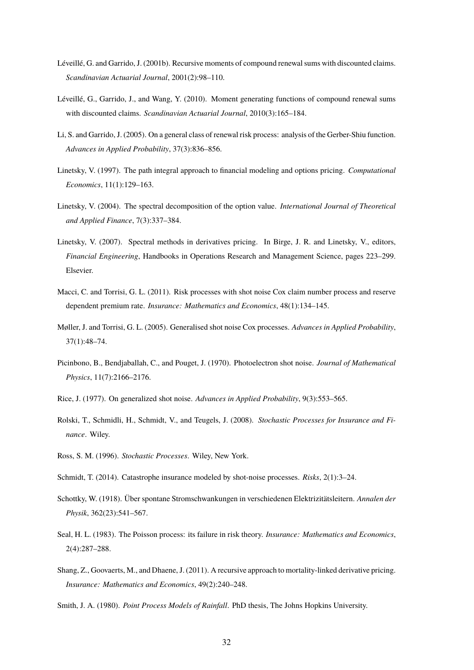- <span id="page-32-8"></span>Léveillé, G. and Garrido, J. (2001b). Recursive moments of compound renewal sums with discounted claims. *Scandinavian Actuarial Journal*, 2001(2):98–110.
- <span id="page-32-9"></span>Léveillé, G., Garrido, J., and Wang, Y. (2010). Moment generating functions of compound renewal sums with discounted claims. *Scandinavian Actuarial Journal*, 2010(3):165–184.
- <span id="page-32-10"></span>Li, S. and Garrido, J. (2005). On a general class of renewal risk process: analysis of the Gerber-Shiu function. *Advances in Applied Probability*, 37(3):836–856.
- <span id="page-32-13"></span>Linetsky, V. (1997). The path integral approach to financial modeling and options pricing. *Computational Economics*, 11(1):129–163.
- <span id="page-32-14"></span>Linetsky, V. (2004). The spectral decomposition of the option value. *International Journal of Theoretical and Applied Finance*, 7(3):337–384.
- <span id="page-32-15"></span>Linetsky, V. (2007). Spectral methods in derivatives pricing. In Birge, J. R. and Linetsky, V., editors, *Financial Engineering*, Handbooks in Operations Research and Management Science, pages 223–299. Elsevier.
- <span id="page-32-2"></span>Macci, C. and Torrisi, G. L. (2011). Risk processes with shot noise Cox claim number process and reserve dependent premium rate. *Insurance: Mathematics and Economics*, 48(1):134–145.
- <span id="page-32-12"></span>Møller, J. and Torrisi, G. L. (2005). Generalised shot noise Cox processes. *Advances in Applied Probability*, 37(1):48–74.
- <span id="page-32-1"></span>Picinbono, B., Bendjaballah, C., and Pouget, J. (1970). Photoelectron shot noise. *Journal of Mathematical Physics*, 11(7):2166–2176.
- <span id="page-32-11"></span>Rice, J. (1977). On generalized shot noise. *Advances in Applied Probability*, 9(3):553–565.
- <span id="page-32-7"></span>Rolski, T., Schmidli, H., Schmidt, V., and Teugels, J. (2008). *Stochastic Processes for Insurance and Finance*. Wiley.
- <span id="page-32-6"></span>Ross, S. M. (1996). *Stochastic Processes*. Wiley, New York.
- <span id="page-32-3"></span>Schmidt, T. (2014). Catastrophe insurance modeled by shot-noise processes. *Risks*, 2(1):3–24.
- <span id="page-32-0"></span>Schottky, W. (1918). Über spontane Stromschwankungen in verschiedenen Elektrizitätsleitern. *Annalen der Physik*, 362(23):541–567.
- <span id="page-32-4"></span>Seal, H. L. (1983). The Poisson process: its failure in risk theory. *Insurance: Mathematics and Economics*, 2(4):287–288.
- <span id="page-32-16"></span>Shang, Z., Goovaerts, M., and Dhaene, J. (2011). A recursive approach to mortality-linked derivative pricing. *Insurance: Mathematics and Economics*, 49(2):240–248.

<span id="page-32-5"></span>Smith, J. A. (1980). *Point Process Models of Rainfall*. PhD thesis, The Johns Hopkins University.